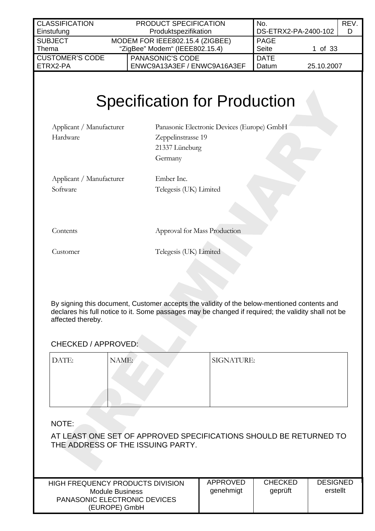| <b>CLASSIFICATION</b>                | PRODUCT SPECIFICATION                                                                                                                | No.                     | REV. |
|--------------------------------------|--------------------------------------------------------------------------------------------------------------------------------------|-------------------------|------|
| Einstufung                           | Produktspezifikation                                                                                                                 | DS-ETRX2-PA-2400-102    | D    |
| <b>SUBJECT</b>                       | MODEM FOR IEEE802.15.4 (ZIGBEE)                                                                                                      | <b>PAGE</b>             |      |
| Thema                                | "ZigBee" Modem" (IEEE802.15.4)                                                                                                       | <b>Seite</b><br>1 of 33 |      |
| <b>CUSTOMER'S CODE</b>               | <b>PANASONIC'S CODE</b>                                                                                                              | <b>DATE</b>             |      |
| ETRX2-PA                             | ENWC9A13A3EF / ENWC9A16A3EF                                                                                                          | Datum<br>25.10.2007     |      |
| Applicant / Manufacturer<br>Hardware | <b>Specification for Production</b><br>Panasonic Electronic Devices (Europe) GmbH<br>Zeppelinstrasse 19<br>21337 Lüneburg<br>Germany |                         |      |
| Applicant / Manufacturer             | Ember Inc.                                                                                                                           |                         |      |

Telegesis (UK) Limited

Software

Contents Approval for Mass Production

Customer Telegesis (UK) Limited

By signing this document, Customer accepts the validity of the below-mentioned contents and declares his full notice to it. Some passages may be changed if required; the validity shall not be affected thereby.

# CHECKED / APPROVED:

| DATE: | NAME: | <b>SIGNATURE:</b> |
|-------|-------|-------------------|
|       |       |                   |
|       |       |                   |
|       |       |                   |

NOTE:

AT LEAST ONE SET OF APPROVED SPECIFICATIONS SHOULD BE RETURNED TO THE ADDRESS OF THE ISSUING PARTY.

| HIGH FREQUENCY PRODUCTS DIVISION    | APPROVED  | <b>CHECKED</b> | <b>DESIGNED</b> |
|-------------------------------------|-----------|----------------|-----------------|
| Module Business                     | qenehmigt | geprüft        | erstellt        |
| <b>PANASONIC ELECTRONIC DEVICES</b> |           |                |                 |
| (EUROPE) GmbH                       |           |                |                 |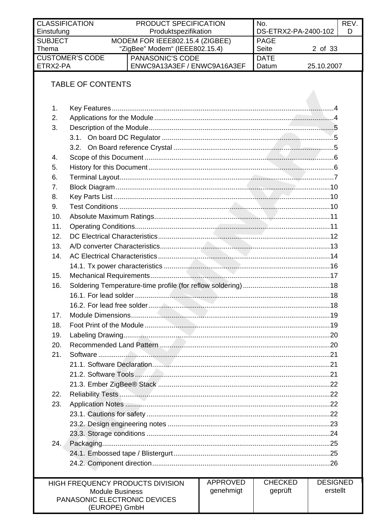| Einstufung     | <b>CLASSIFICATION</b><br>PRODUCT SPECIFICATION<br>No.<br>DS-ETRX2-PA-2400-102<br>Produktspezifikation |                                  |                 |                |                             | REV.<br>D |
|----------------|-------------------------------------------------------------------------------------------------------|----------------------------------|-----------------|----------------|-----------------------------|-----------|
| <b>SUBJECT</b> |                                                                                                       | MODEM FOR IEEE802.15.4 (ZIGBEE)  |                 | <b>PAGE</b>    |                             |           |
| Thema          |                                                                                                       | "ZigBee" Modem" (IEEE802.15.4)   |                 | <b>Seite</b>   | 2 of 33                     |           |
|                | <b>CUSTOMER'S CODE</b><br><b>PANASONIC'S CODE</b><br><b>DATE</b>                                      |                                  |                 |                |                             |           |
| ETRX2-PA       |                                                                                                       | ENWC9A13A3EF / ENWC9A16A3EF      |                 | Datum          | 25.10.2007                  |           |
|                |                                                                                                       |                                  |                 |                |                             |           |
|                | <b>TABLE OF CONTENTS</b>                                                                              |                                  |                 |                |                             |           |
|                |                                                                                                       |                                  |                 |                |                             |           |
| 1.             |                                                                                                       |                                  |                 |                |                             |           |
| 2.             |                                                                                                       |                                  |                 |                |                             |           |
| 3.             |                                                                                                       |                                  |                 |                |                             |           |
|                |                                                                                                       |                                  |                 |                |                             |           |
|                |                                                                                                       |                                  |                 |                |                             |           |
| 4.             |                                                                                                       |                                  |                 |                |                             |           |
| 5.             |                                                                                                       |                                  |                 |                |                             |           |
| 6.             |                                                                                                       |                                  |                 |                |                             |           |
| 7.             |                                                                                                       |                                  |                 |                |                             |           |
| 8.             |                                                                                                       |                                  |                 |                |                             |           |
| 9.             |                                                                                                       |                                  |                 |                |                             |           |
| 10.            |                                                                                                       |                                  |                 |                |                             |           |
| 11.            |                                                                                                       |                                  |                 |                |                             |           |
| 12.            |                                                                                                       |                                  |                 |                |                             |           |
| 13.            |                                                                                                       |                                  |                 |                |                             |           |
| 14.            |                                                                                                       |                                  |                 |                |                             |           |
|                |                                                                                                       |                                  |                 |                |                             |           |
| 15.            |                                                                                                       |                                  |                 |                |                             |           |
| 16.            |                                                                                                       |                                  |                 |                |                             |           |
|                |                                                                                                       |                                  |                 |                |                             |           |
|                |                                                                                                       |                                  |                 |                |                             |           |
| 17.            |                                                                                                       |                                  |                 |                |                             |           |
| 18.            |                                                                                                       |                                  |                 |                |                             |           |
|                |                                                                                                       |                                  |                 |                |                             |           |
| 19.            |                                                                                                       |                                  |                 |                |                             |           |
| 20.            |                                                                                                       |                                  |                 |                |                             |           |
| 21.            |                                                                                                       |                                  |                 |                |                             |           |
|                |                                                                                                       |                                  |                 |                |                             |           |
|                |                                                                                                       |                                  |                 |                |                             |           |
|                |                                                                                                       |                                  |                 |                |                             |           |
| 22.            |                                                                                                       |                                  |                 |                |                             |           |
| 23.            |                                                                                                       |                                  |                 |                |                             |           |
|                |                                                                                                       |                                  |                 |                |                             |           |
|                |                                                                                                       |                                  |                 |                |                             |           |
|                |                                                                                                       |                                  |                 |                |                             |           |
| 24.            |                                                                                                       |                                  |                 |                |                             |           |
|                |                                                                                                       |                                  |                 |                |                             |           |
|                |                                                                                                       |                                  |                 |                |                             |           |
|                |                                                                                                       |                                  |                 |                |                             |           |
|                |                                                                                                       | HIGH FREQUENCY PRODUCTS DIVISION | <b>APPROVED</b> | <b>CHECKED</b> | <b>DESIGNED</b><br>erstellt |           |
|                | <b>Module Business</b><br>PANASONIC ELECTRONIC DEVICES                                                |                                  | genehmigt       | geprüft        |                             |           |
|                |                                                                                                       | (EUROPE) GmbH                    |                 |                |                             |           |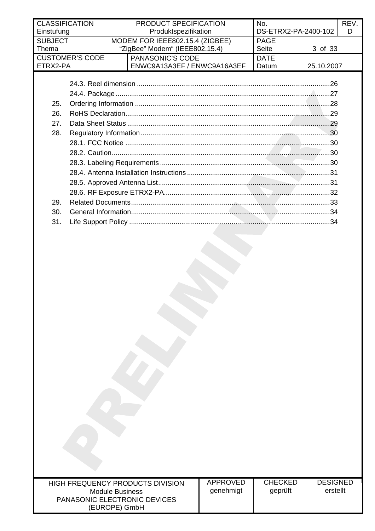| <b>CLASSIFICATION</b><br>Einstufung | PRODUCT SPECIFICATION<br>Produktspezifikation                                             | No. | DS-ETRX2-PA-2400-102 | <b>REV</b><br>D |
|-------------------------------------|-------------------------------------------------------------------------------------------|-----|----------------------|-----------------|
| <b>SUBJECT</b><br>Thema             | <b>PAGE</b><br>MODEM FOR IEEE802.15.4 (ZIGBEE)<br>"ZigBee" Modem" (IEEE802.15.4)<br>Seite |     | 3 of 33              |                 |
| <b>CUSTOMER'S CODE</b><br>ETRX2-PA  | <b>PANASONIC'S CODE</b><br>ENWC9A13A3EF / ENWC9A16A3EF                                    |     | 25.10.2007           |                 |

|     | .26 |
|-----|-----|
|     | 27  |
| 25. |     |
| 26. | .29 |
| 27. |     |
| 28. |     |
|     |     |
|     |     |
|     |     |
|     |     |
|     |     |
|     |     |
| 29. |     |
| 30. |     |
| 31. |     |
|     |     |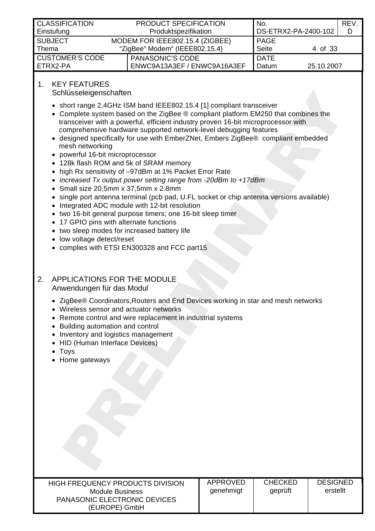<span id="page-3-0"></span>

| <b>CLASSIFICATION</b>  | <b>PRODUCT SPECIFICATION</b>    |                             | No.                  |            | <b>REV</b> |
|------------------------|---------------------------------|-----------------------------|----------------------|------------|------------|
| Einstufung             | Produktspezifikation            |                             | DS-ETRX2-PA-2400-102 |            | D          |
| <b>SUBJECT</b>         | MODEM FOR IEEE802.15.4 (ZIGBEE) |                             | PAGE                 |            |            |
| Thema                  | "ZigBee" Modem" (IEEE802.15.4)  |                             | Seite                | 4 of 33    |            |
| <b>CUSTOMER'S CODE</b> |                                 | <b>PANASONIC'S CODE</b>     | <b>DATE</b>          |            |            |
| ETRX2-PA               |                                 | ENWC9A13A3EF / ENWC9A16A3EF | Datum                | 25.10.2007 |            |

# 1. KEY FEATURES

Schlüsseleigenschaften

- short range 2,4GHz ISM band IEEE802.15.4 [\[1\]](#page-32-1) compliant transceiver
- Complete system based on the ZigBee ® compliant platform EM250 that combines the transceiver with a powerful, efficient industry proven 16-bit microprocessor with comprehensive hardware supported network-level debugging features
- designed specifically for use with EmberZNet, Embers ZigBee® compliant embedded mesh networking
- powerful 16-bit microprocessor
- 128k flash ROM and 5k of SRAM memory
- high Rx sensitivity of –97dBm at 1% Packet Error Rate
- *increased Tx output power setting range from -20dBm to +17dBm*
- Small size 20,5mm x 37,5mm x 2.8mm
- single port antenna terminal (pcb pad, U.FL socket or chip antenna versions available)
- Integrated ADC module with 12-bit resolution
- two 16-bit general purpose timers; one 16-bit sleep timer
- 17 GPIO pins with alternate functions
- two sleep modes for increased battery life
- low voltage detect/reset
- complies with ETSI EN300328 and FCC part15

#### 2. APPLICATIONS FOR THE MODULE Anwendungen für das Modul

- ZigBee® Coordinators,Routers and End Devices working in star and mesh networks
- Wireless sensor and actuator networks
- Remote control and wire replacement in industrial systems
- Building automation and control
- Inventory and logistics management
- HID (Human Interface Devices)
- Toys
- Home gateways

| <b>HIGH FREQUENCY PRODUCTS DIVISION</b> | ΑP |
|-----------------------------------------|----|
| Module Business                         | gc |
| <b>PANASONIC ELECTRONIC DEVICES</b>     |    |
| (EUROPE) GmbH                           |    |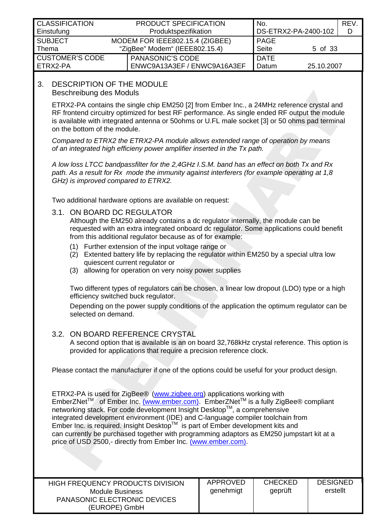<span id="page-4-0"></span>

| <b>CLASSIFICATION</b><br>Einstufung |                                                                   | <b>PRODUCT SPECIFICATION</b><br>Produktspezifikation   | No.<br>DS-ETRX2-PA-2400-102 |            | REV.<br>D |
|-------------------------------------|-------------------------------------------------------------------|--------------------------------------------------------|-----------------------------|------------|-----------|
| <b>SUBJECT</b><br>Thema             | MODEM FOR IEEE802.15.4 (ZIGBEE)<br>"ZigBee" Modem" (IEEE802.15.4) |                                                        | <b>PAGE</b><br><b>Seite</b> | 5 of 33    |           |
| <b>CUSTOMER'S CODE</b><br>ETRX2-PA  |                                                                   | <b>PANASONIC'S CODE</b><br>ENWC9A13A3EF / ENWC9A16A3EF | <b>DATE</b><br>Datum        | 25.10.2007 |           |

#### 3. DESCRIPTION OF THE MODULE Beschreibung des Moduls

ETRX2-PA contains the single chip EM250 [\[2\]](#page-32-2) from Ember Inc., a 24MHz reference crystal and RF frontend circuitry optimized for best RF performance. As single ended RF output the module is available with integrated antenna or 50ohms or U.FL male socket [\[3\]](#page-32-3) or 50 ohms pad terminal on the bottom of the module.

*Compared to ETRX2 the ETRX2-PA module allows extended range of operation by means of an integrated high efficieny power amplifier inserted in the Tx path.* 

*A low loss LTCC bandpassfilter for the 2,4GHz I.S.M. band has an effect on both Tx and Rx path. As a result for Rx mode the immunity against interferers (for example operating at 1,8 GHz) is improved compared to ETRX2.* 

Two additional hardware options are available on request:

#### 3.1. ON BOARD DC REGULATOR

Although the EM250 already contains a dc regulator internally, the module can be requested with an extra integrated onboard dc regulator. Some applications could benefit from this additional regulator because as of for example:

- (1) Further extension of the input voltage range or
- (2) Extented battery life by replacing the regulator within EM250 by a special ultra low quiescent current regulator or
- (3) allowing for operation on very noisy power supplies

Two different types of regulators can be chosen, a linear low dropout (LDO) type or a high efficiency switched buck regulator.

Depending on the power supply conditions of the application the optimum regulator can be selected on demand.

#### 3.2. ON BOARD REFERENCE CRYSTAL

A second option that is available is an on board 32,768kHz crystal reference. This option is provided for applications that require a precision reference clock.

Please contact the manufacturer if one of the options could be useful for your product design.

ETRX2-PA is used for ZigBee® ([www.zigbee.org\)](http://www.zigbee.org/) applications working with EmberZNetTM of Ember Inc. [\(www.ember.com\)](http://www.ember.com/). EmberZNetTM is a fully ZigBee® compliant networking stack. For code development Insight Desktop™, a comprehensive integrated development environment (IDE) and C-language compiler toolchain from Ember Inc. is required. Insight Desktop™ is part of Ember development kits and can currently be purchased together with programming adaptors as EM250 jumpstart kit at a price of USD 2500,- directly from Ember Inc. [\(www.ember.com\)](http://www.ember.com/).

| HIGH FREQUENCY PRODUCTS DIVISION    | APPROVED  | CHECKED | <b>DESIGNED</b> |
|-------------------------------------|-----------|---------|-----------------|
| Module Business                     | qenehmigt | geprüft | erstellt        |
| <b>PANASONIC ELECTRONIC DEVICES</b> |           |         |                 |
| (EUROPE) GmbH                       |           |         |                 |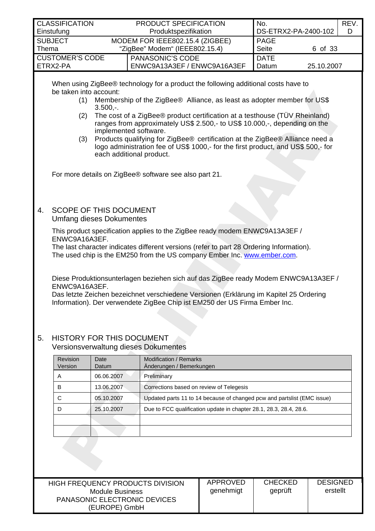<span id="page-5-0"></span>

| <b>CLASSIFICATION</b>  | <b>PRODUCT SPECIFICATION</b>    |                             | No.         |                      | REV. |
|------------------------|---------------------------------|-----------------------------|-------------|----------------------|------|
| Einstufung             | Produktspezifikation            |                             |             | DS-ETRX2-PA-2400-102 | D    |
| <b>SUBJECT</b>         | MODEM FOR IEEE802.15.4 (ZIGBEE) |                             | <b>PAGE</b> |                      |      |
| $\blacksquare$ Thema   | "ZigBee" Modem" (IEEE802.15.4)  |                             | Seite       | 6 of 33              |      |
| <b>CUSTOMER'S CODE</b> |                                 | PANASONIC'S CODE            | <b>DATE</b> |                      |      |
| I ETRX2-PA             |                                 | ENWC9A13A3EF / ENWC9A16A3EF | Datum       | 25.10.2007           |      |

When using ZigBee® technology for a product the following additional costs have to be taken into account:

- (1) Membership of the ZigBee® Alliance, as least as adopter member for US\$ 3.500,-.
- (2) The cost of a ZigBee® product certification at a testhouse (TÜV Rheinland) ranges from approximately US\$ 2.500,- to US\$ 10.000,-, depending on the implemented software.
- (3) Products qualifying for ZigBee® certification at the ZigBee® Alliance need a logo administration fee of US\$ 1000,- for the first product, and US\$ 500,- for each additional product.

For more details on ZigBee® software see also part [21.](#page-20-1)

4. SCOPE OF THIS DOCUMENT Umfang dieses Dokumentes

> This product specification applies to the ZigBee ready modem [ENWC9A13A3EF /](#page-27-1)  [ENWC9A16A3EF.](#page-27-1)

The last character indicates different versions (refer to part [28 Ordering Information\)](#page-27-1). The used chip is the EM250 from the US company Ember Inc. [www.ember.com](http://www.ember.com/).

Diese Produktionsunterlagen beziehen sich auf das ZigBee ready Modem [ENWC9A13A3EF /](#page-27-1)  [ENWC9A16A3EF.](#page-27-1)

Das letzte Zeichen bezeichnet verschiedene Versionen (Erklärung im Kapitel [25 Ordering](#page-27-1)  [Information\)](#page-27-1). Der verwendete ZigBee Chip ist EM250 der US Firma Ember Inc.

#### 5. HISTORY FOR THIS DOCUMENT Versionsverwaltung dieses Dokumentes

| Revision<br>Version | Date<br>Datum | <b>Modification / Remarks</b><br>Änderungen / Bemerkungen               |
|---------------------|---------------|-------------------------------------------------------------------------|
| A                   | 06.06.2007    | Preliminary                                                             |
| B                   | 13.06.2007    | Corrections based on review of Telegesis                                |
| C                   | 05.10.2007    | Updated parts 11 to 14 because of changed pcw and partslist (EMC issue) |
| D                   | 25.10.2007    | Due to FCC qualification update in chapter 28.1, 28.3, 28.4, 28.6.      |
|                     |               |                                                                         |
|                     |               |                                                                         |

| HIGH FREQUENCY PRODUCTS DIVISION<br>Module Business | APPROVED<br>genehmigt | <b>CHECKED</b><br>geprüft | <b>DESIGNED</b><br>erstellt |
|-----------------------------------------------------|-----------------------|---------------------------|-----------------------------|
| <b>PANASONIC ELECTRONIC DEVICES</b>                 |                       |                           |                             |
| (EUROPE) GmbH                                       |                       |                           |                             |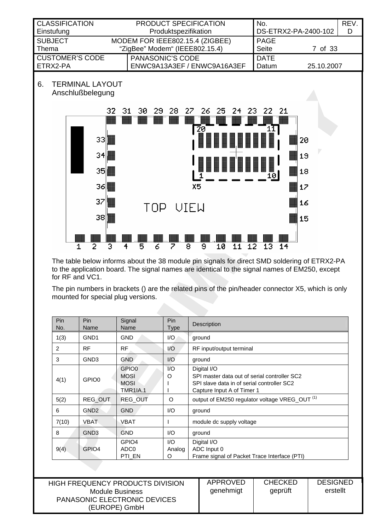<span id="page-6-0"></span>

The table below informs about the 38 module pin signals for direct SMD soldering of ETRX2-PA to the application board. The signal names are identical to the signal names of EM250, except for RF and VC1.

The pin numbers in brackets () are the related pins of the pin/header connector X5, which is only mounted for special plug versions.

| <b>Pin</b><br>No. | Pin<br>Name       | Signal<br>Name                                                     | Pin<br><b>Type</b> | Description                                                                                                                             |
|-------------------|-------------------|--------------------------------------------------------------------|--------------------|-----------------------------------------------------------------------------------------------------------------------------------------|
| 1(3)              | GND <sub>1</sub>  | <b>GND</b>                                                         | 1/O                | ground                                                                                                                                  |
| 2                 | <b>RF</b>         | <b>RF</b>                                                          | $\overline{U}$     | RF input/output terminal                                                                                                                |
| 3                 | GND <sub>3</sub>  | <b>GND</b>                                                         | 1/O                | ground                                                                                                                                  |
| 4(1)              | GPIO0             | GPIO <sub>0</sub><br><b>MOSI</b><br><b>MOSI</b><br><b>TMR1IA.1</b> | 1/O<br>O           | Digital I/O<br>SPI master data out of serial controller SC2<br>SPI slave data in of serial controller SC2<br>Capture Input A of Timer 1 |
| 5(2)              | <b>REG OUT</b>    | REG_OUT                                                            | $\circ$            | output of EM250 regulator voltage VREG_OUT <sup>(1)</sup>                                                                               |
| 6                 | GND <sub>2</sub>  | <b>GND</b>                                                         | 1/O                | ground                                                                                                                                  |
| 7(10)             | <b>VBAT</b>       | VBAT                                                               |                    | module dc supply voltage                                                                                                                |
| 8                 | GND <sub>3</sub>  | <b>GND</b>                                                         | 1/O                | ground                                                                                                                                  |
| 9(4)              | GPIO <sub>4</sub> | GPIO <sub>4</sub><br>ADC <sub>0</sub><br>PTI EN                    | 1/O<br>Analog<br>O | Digital I/O<br>ADC Input 0<br>Frame signal of Packet Trace Interface (PTI)                                                              |

| <b>HIGH FREQUENCY PRODUCTS DIVISION</b><br><b>Module Business</b><br><b>PANASONIC ELECTRONIC DEVICES</b> | APPROVED<br>genehmigt | <b>CHECKED</b><br>geprüft | <b>DESIGNED</b><br>erstellt |
|----------------------------------------------------------------------------------------------------------|-----------------------|---------------------------|-----------------------------|
| (EUROPE) GmbH                                                                                            |                       |                           |                             |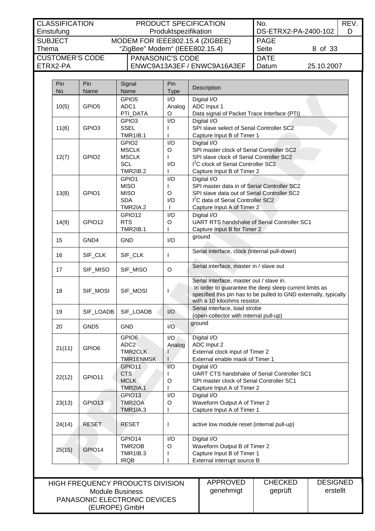| <b>CLASSIFICATION</b><br>Einstufung  | <b>PRODUCT SPECIFICATION</b><br>No.<br>DS-ETRX2-PA-2400-102<br>Produktspezifikation |                                                                                  |                      |            | REV.<br>D |
|--------------------------------------|-------------------------------------------------------------------------------------|----------------------------------------------------------------------------------|----------------------|------------|-----------|
| <b>SUBJECT</b><br>Thema              |                                                                                     | MODEM FOR IEEE802.15.4 (ZIGBEE)<br><b>PAGE</b><br>"ZigBee" Modem" (IEEE802.15.4) |                      | 8 of 33    |           |
| <b>CUSTOMER'S CODE</b><br>I FTRX2-PA |                                                                                     | <b>PANASONIC'S CODE</b><br>ENWC9A13A3EF / ENWC9A16A3EF                           | <b>DATE</b><br>Datum | 25.10.2007 |           |

| Pin<br>No. | Pin<br>Name        | Signal<br>Name                        | Pin<br><b>Type</b> | Description                                                       |
|------------|--------------------|---------------------------------------|--------------------|-------------------------------------------------------------------|
|            |                    | GPIO <sub>5</sub>                     |                    | Digital I/O                                                       |
|            | GPIO <sub>5</sub>  | ADC1                                  | I/O<br>Analog      | ADC Input 1                                                       |
| 10(5)      |                    | PTI_DATA                              | O                  | Data signal of Packet Trace Interface (PTI)                       |
|            |                    | GPIO <sub>3</sub>                     | I/O                | Digital I/O                                                       |
| 11(6)      | GPIO <sub>3</sub>  | <b>SSEL</b>                           |                    | SPI slave select of Serial Controller SC2                         |
|            |                    | <b>TMR1IB.1</b>                       | ı                  | Capture Input B of Timer 1                                        |
|            |                    | GPIO <sub>2</sub>                     | I/O                | Digital I/O                                                       |
|            |                    | <b>MSCLK</b>                          | O                  | SPI master clock of Serial Controller SC2                         |
| 12(7)      | GPIO <sub>2</sub>  | <b>MSCLK</b>                          | L                  | SPI slave clock of Serial Controller SC2                          |
|            |                    | <b>SCL</b>                            | I/O                | I <sup>2</sup> C clock of Serial Controller SC2                   |
|            |                    | <b>TMR2IB.2</b>                       |                    | Capture Input B of Timer 2                                        |
|            |                    | GPIO1                                 | I/O                | Digital I/O                                                       |
|            |                    | <b>MISO</b>                           | I.                 | SPI master data in of Serial Controller SC2                       |
| 13(8)      | GPIO1              | <b>MISO</b>                           | O                  | SPI slave data out of Serial Controller SC2                       |
|            |                    | <b>SDA</b>                            | I/O                | I <sup>2</sup> C data of Serial Controller SC2                    |
|            |                    | <b>TMR2IA.2</b>                       |                    | Capture Input A of Timer 2                                        |
|            |                    | GPIO12                                | I/O                |                                                                   |
|            | GPIO12             | <b>RTS</b>                            | O                  | Digital I/O<br><b>UART RTS handshake of Serial Controller SC1</b> |
| 14(9)      |                    |                                       |                    |                                                                   |
|            |                    | <b>TMR2IB.1</b>                       |                    | Capture Input B for Timer 2                                       |
| 15         | GND4               | <b>GND</b>                            | I/O                | ground                                                            |
| 16         | SIF_CLK            | SIF_CLK                               | T                  | Serial interface, clock (internal pull-down)                      |
| 17         | SIF_MISO           | SIF_MISO                              | O                  | Serial interface, master in / slave out                           |
|            |                    |                                       |                    | Serial interface, master out / slave in.                          |
|            |                    |                                       |                    | In order to guarantee the deep sleep current limits as            |
| 18         | SIF_MOSI           | SIF_MOSI                              | I                  | specified this pin has to be pulled to GND externally, typically  |
|            |                    |                                       |                    | with a 10 kiloohms resistor.                                      |
|            |                    |                                       |                    | Serial interface, load strobe                                     |
| 19         | SIF_LOADB          | SIF_LOADB                             | I/O                | (open-collector with internal pull-up)                            |
| 20         | GND <sub>5</sub>   | <b>GND</b>                            | I/O                | ground                                                            |
|            |                    |                                       |                    |                                                                   |
|            |                    | GPIO <sub>6</sub><br>ADC <sub>2</sub> | I/O                | Digital I/O<br>ADC Input 2                                        |
| 21(11)     | GPIO <sub>6</sub>  | <b>TMR2CLK</b>                        | Analog<br>1        | External clock input of Timer 2                                   |
|            |                    | <b>TMR1ENMSK</b>                      |                    | External enable mask of Timer 1                                   |
|            |                    |                                       |                    |                                                                   |
|            |                    | GPIO11                                | I/O                | Digital I/O                                                       |
| 22(12)     | GPIO11             | <b>CTS</b>                            |                    | UART CTS handshake of Serial Controller SC1                       |
|            |                    | <b>MCLK</b>                           | O                  | SPI master clock of Serial Controller SC1                         |
|            |                    | <b>TMR2IA.1</b>                       | L                  | Capture Input A of Timer 2                                        |
|            |                    | GPIO13                                | I/O                | Digital I/O                                                       |
| 23(13)     | GPIO <sub>13</sub> | TMR2OA                                | O                  | Waveform Output A of Timer 2                                      |
|            |                    | <b>TMR1IA.3</b>                       | L                  | Capture Input A of Timer 1                                        |
| 24(14)     | <b>RESET</b>       | <b>RESET</b>                          | L                  | active low module reset (internal pull-up)                        |
|            |                    | GPIO14                                | I/O                | Digital I/O                                                       |
|            |                    | TMR2OB                                | O                  | Waveform Output B of Timer 2                                      |
| 25(15)     | GPIO14             | <b>TMR1IB.3</b>                       | I                  | Capture Input B of Timer 1                                        |
|            |                    | <b>IRQB</b>                           |                    | External interrupt source B                                       |

| HIGH FREQUENCY PRODUCTS DIVISION    | APPROVED  | <b>CHECKED</b> | <b>DESIGNED</b> |
|-------------------------------------|-----------|----------------|-----------------|
| Module Business                     | qenehmigt | geprüft        | erstellt        |
| <b>PANASONIC ELECTRONIC DEVICES</b> |           |                |                 |
| (EUROPE) GmbH                       |           |                |                 |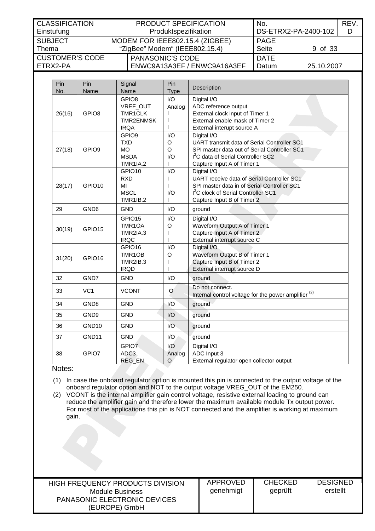| <b>CLASSIFICATION</b>  | <b>PRODUCT SPECIFICATION</b>    | No.                  | REV. |
|------------------------|---------------------------------|----------------------|------|
| Einstufung             | Produktspezifikation            | DS-ETRX2-PA-2400-102 |      |
| <b>SUBJECT</b>         | MODEM FOR IEEE802.15.4 (ZIGBEE) | <b>PAGE</b>          |      |
| Thema                  | "ZigBee" Modem" (IEEE802.15.4)  | Seite<br>9 of 33     |      |
| <b>CUSTOMER'S CODE</b> | <b>PANASONIC'S CODE</b>         | <b>DATE</b>          |      |
| I FTRX2-PA             | ENWC9A13A3EF / ENWC9A16A3EF     | 25.10.2007<br>Datum  |      |

| Pin<br>No. | Pin<br>Name        | Signal<br>Name                                                                 | Pin<br>Type              | Description                                                                                                                                                                                |
|------------|--------------------|--------------------------------------------------------------------------------|--------------------------|--------------------------------------------------------------------------------------------------------------------------------------------------------------------------------------------|
| 26(16)     | GPIO <sub>8</sub>  | GPIO <sub>8</sub><br>VREF_OUT<br>TMR1CLK<br>TMR2ENMSK<br><b>IRQA</b>           | I/O<br>Analog            | Digital I/O<br>ADC reference output<br>External clock input of Timer 1<br>External enable mask of Timer 2<br>External interupt source A                                                    |
| 27(18)     | GPIO9              | GPIO <sub>9</sub><br><b>TXD</b><br><b>MO</b><br><b>MSDA</b><br><b>TMR1IA.2</b> | I/O<br>O<br>O<br>1/O     | Digital I/O<br>UART transmit data of Serial Controller SC1<br>SPI master data out of Serial Controller SC1<br>I <sup>2</sup> C data of Serial Controller SC2<br>Capture Input A of Timer 1 |
| 28(17)     | GPIO10             | GPIO10<br><b>RXD</b><br>MI<br><b>MSCL</b><br><b>TMR1IB.2</b>                   | I/O<br>I/O               | Digital I/O<br>UART receive data of Serial Controller SC1<br>SPI master data in of Serial Controller SC1<br>1 <sup>2</sup> C clock of Serial Controller SC1<br>Capture Input B of Timer 2  |
| 29         | GND <sub>6</sub>   | <b>GND</b>                                                                     | I/O                      | ground                                                                                                                                                                                     |
| 30(19)     | GPIO15             | GPIO15<br>TMR1OA<br>TMR2IA.3<br><b>IRQC</b>                                    | I/O<br>O                 | Digital I/O<br>Waveform Output A of Timer 1<br>Capture Input A of Timer 2<br>External interrupt source C                                                                                   |
| 31(20)     | GPIO <sub>16</sub> | GPIO16<br>TMR1OB<br><b>TMR2IB.3</b><br><b>IRQD</b>                             | I/O<br>O                 | Digital I/O<br>Waveform Output B of Timer 1<br>Capture Input B of Timer 2<br>External interrupt source D                                                                                   |
| 32         | GND7               | <b>GND</b>                                                                     | 1/O                      | ground                                                                                                                                                                                     |
| 33         | VC <sub>1</sub>    | <b>VCONT</b>                                                                   | O                        | Do not connect.<br>Internal control voltage for the power amplifier <sup>(2)</sup>                                                                                                         |
| 34         | GND <sub>8</sub>   | <b>GND</b>                                                                     | I/O                      | ground                                                                                                                                                                                     |
| 35         | GND9               | <b>GND</b>                                                                     | I/O                      | ground                                                                                                                                                                                     |
| 36         | GND <sub>10</sub>  | <b>GND</b>                                                                     | 1/O                      | ground                                                                                                                                                                                     |
| 37         | GND11              | <b>GND</b>                                                                     | I/O                      | ground                                                                                                                                                                                     |
| 38         | GPIO7              | GPIO7<br>ADC <sub>3</sub><br>REG_EN                                            | I/O<br>Analog<br>$\circ$ | Digital I/O<br>ADC Input 3<br>External regulator open collector output                                                                                                                     |

#### Notes:

<span id="page-8-0"></span>(1) In case the onboard regulator option is mounted this pin is connected to the output voltage of the onboard regulator option and NOT to the output voltage VREG\_OUT of the EM250.

(2) VCONT is the internal amplifier gain control voltage, resistive external loading to ground can reduce the amplifier gain and therefore lower the maximum available module Tx output power. For most of the applications this pin is NOT connected and the amplifier is working at maximum gain.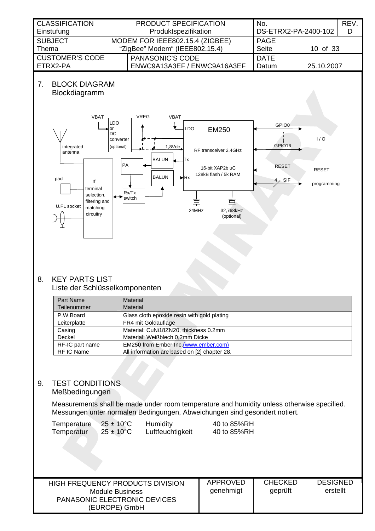<span id="page-9-0"></span>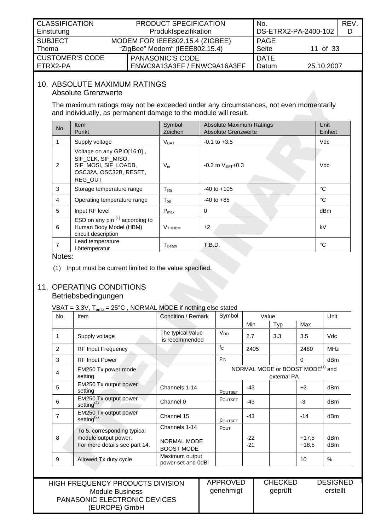<span id="page-10-0"></span>

| <b>CLASSIFICATION</b><br>Einstufung | PRODUCT SPECIFICATION<br>Produktspezifikation |                                                                   | No.<br>DS-ETRX2-PA-2400-102 |            | REV.<br>D |
|-------------------------------------|-----------------------------------------------|-------------------------------------------------------------------|-----------------------------|------------|-----------|
| <b>SUBJECT</b><br>Thema             |                                               | MODEM FOR IEEE802.15.4 (ZIGBEE)<br>"ZigBee" Modem" (IEEE802.15.4) | <b>PAGE</b><br><b>Seite</b> | 11 of 33   |           |
| <b>CUSTOMER'S CODE</b><br>ETRX2-PA  |                                               | <b>PANASONIC'S CODE</b><br>ENWC9A13A3EF / ENWC9A16A3EF            | <b>DATE</b><br>Datum        | 25.10.2007 |           |

#### 10. ABSOLUTE MAXIMUM RATINGS Absolute Grenzwerte

The maximum ratings may not be exceeded under any circumstances, not even momentarily and individually, as permanent damage to the module will result.

| No. | <b>Item</b><br>Punkt                                                                                          | Symbol<br>Zeichen              | Absolute Maximum Ratings<br><b>Absolute Grenzwerte</b> | Unit<br>Einheit |
|-----|---------------------------------------------------------------------------------------------------------------|--------------------------------|--------------------------------------------------------|-----------------|
|     | Supply voltage                                                                                                | V <sub>BAT</sub>               | $-0.1$ to $+3.5$                                       | Vdc             |
| 2   | Voltage on any GPIO[16:0],<br>SIF_CLK, SIF_MISO,<br>SIF_MOSI, SIF_LOADB,<br>OSC32A, OSC32B, RESET,<br>REG_OUT | $V_{in}$                       | $-0.3$ to $V_{BAT} + 0.3$                              | Vdc             |
| 3   | Storage temperature range                                                                                     | $T_{\text{stg}}$               | $-40$ to $+105$                                        | °C              |
| 4   | Operating temperature range                                                                                   | $T_{op}$                       | $-40$ to $+85$                                         | °C              |
| 5   | Input RF level                                                                                                | $P_{\text{max}}$               | 0                                                      | dBm             |
| 6   | ESD on any pin $(1)$ according to<br>Human Body Model (HBM)<br>circuit description                            | <b>V</b> <sub>THHBM</sub>      | ±2                                                     | kV              |
|     | Lead temperature<br>Löttemperatur                                                                             | ${\mathsf T}_{\mathsf{Death}}$ | T.B.D.                                                 | °C              |

#### Notes:

<span id="page-10-2"></span>(1) Input must be current limited to the value specified.

## <span id="page-10-1"></span>11. OPERATING CONDITIONS Betriebsbedingungen

| No. | Item                                                                                 | Condition / Remark                                       | Symbol                                                  |                | Value |                    |                 |
|-----|--------------------------------------------------------------------------------------|----------------------------------------------------------|---------------------------------------------------------|----------------|-------|--------------------|-----------------|
|     |                                                                                      |                                                          |                                                         | Min            | Typ   | Max                |                 |
| 1   | Supply voltage                                                                       | The typical value<br>is recommended                      | <b>V<sub>DD</sub></b>                                   | 2.7            | 3.3   | 3.5                | Vdc             |
| 2   | RF Input Frequency                                                                   |                                                          | $f_{\rm C}$                                             | 2405           |       | 2480               | <b>MHz</b>      |
| 3   | <b>RF Input Power</b>                                                                |                                                          | PIN                                                     |                |       | $\Omega$           | dB <sub>m</sub> |
| 4   | EM250 Tx power mode<br>setting                                                       |                                                          | NORMAL MODE or BOOST MODE <sup>(1)</sup><br>external PA |                |       |                    | and             |
| 5   | EM250 Tx output power<br>setting                                                     | Channels 1-14                                            | POUTSET                                                 | $-43$          |       | $+3$               | dBm             |
| 6   | EM250 Tx output power<br>setting $^{(2)}$                                            | Channel 0                                                | POUTSET                                                 | $-43$          |       | $-3$               | dBm             |
| 7   | EM250 Tx output power<br>setting $(2)$                                               | Channel 15                                               | <b>POUTSET</b>                                          | $-43$          |       | $-14$              | dBm             |
| 8   | To 5. corresponding typical<br>module output power.<br>For more details see part 14. | Channels 1-14<br><b>NORMAL MODE</b><br><b>BOOST MODE</b> | POUT                                                    | $-22$<br>$-21$ |       | $+17,5$<br>$+18,5$ | dBm<br>dBm      |
| 9   | Allowed Tx duty cycle                                                                | Maximum output<br>power set and 0dBi                     |                                                         |                |       | 10                 | $\%$            |

|                                     | APPROVED  | <b>CHECKED</b> | <b>DESIGNED</b> |
|-------------------------------------|-----------|----------------|-----------------|
| HIGH FREQUENCY PRODUCTS DIVISION    |           |                |                 |
| Module Business                     | genehmigt | geprüft        | erstellt        |
| <b>PANASONIC ELECTRONIC DEVICES</b> |           |                |                 |
| (EUROPE) GmbH                       |           |                |                 |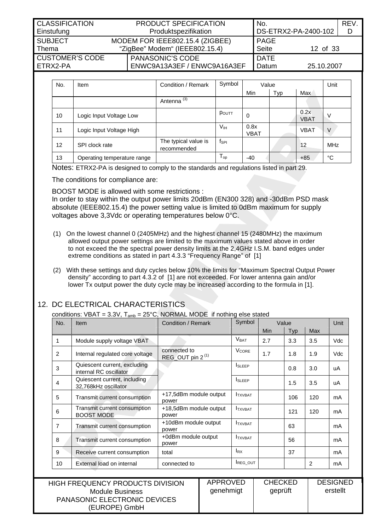<span id="page-11-0"></span>

| <b>CLASSIFICATION</b> |                                 | <b>PRODUCT SPECIFICATION</b>   | No.                  |            | REV. |
|-----------------------|---------------------------------|--------------------------------|----------------------|------------|------|
| Einstufung            | Produktspezifikation            |                                | DS-ETRX2-PA-2400-102 |            |      |
| <b>SUBJECT</b>        | MODEM FOR IEEE802.15.4 (ZIGBEE) |                                | <b>PAGE</b>          |            |      |
| Thema                 |                                 | "ZigBee" Modem" (IEEE802.15.4) | <b>Seite</b>         | 12 of 33   |      |
| CUSTOMER'S CODE       |                                 | <b>PANASONIC'S CODE</b>        | <b>DATE</b>          |            |      |
| FTRX2-PA              |                                 | ENWC9A13A3EF / ENWC9A16A3EF    | Datum                | 25.10.2007 |      |

| No. | <b>Item</b>                 | Condition / Remark                  | Symbol           | Value               |     |                     | Unit       |
|-----|-----------------------------|-------------------------------------|------------------|---------------------|-----|---------------------|------------|
|     |                             |                                     |                  | Min                 | Typ | Max                 |            |
|     |                             | Antenna <sup>(3)</sup>              |                  |                     |     |                     |            |
| 10  | Logic Input Voltage Low     |                                     | POUTT            | 0                   |     | 0.2x<br><b>VBAT</b> |            |
| 11  | Logic Input Voltage High    |                                     | Vıн              | 0.8x<br><b>VBAT</b> |     | <b>VBAT</b>         | V          |
| 12  | SPI clock rate              | The typical value is<br>recommended | f <sub>SPI</sub> |                     |     | $12 \,$             | <b>MHz</b> |
| 13  | Operating temperature range |                                     | $T_{op}$         | $-40$               |     | $+85$               | °C         |

Notes: ETRX2-PA is designed to comply to the standards and regulations listed in part 29.

The conditions for compliance are:

BOOST MODE is allowed with some restrictions :

In order to stay within the output power limits 20dBm (EN300 328) and -30dBm PSD mask absolute (IEEE802.15.4) the power setting value is limited to 0dBm maximum for supply voltages above 3,3Vdc or operating temperatures below 0°C.

- (1) On the lowest channel 0 (2405MHz) and the highest channel 15 (2480MHz) the maximum allowed output power settings are limited to the maximum values stated above in order to not exceed the the spectral power density limits at the 2,4GHz I.S.M. band edges under extreme conditions as stated in part 4.3.3 "Frequency Range" of [\[1\]](#page-32-1)
- (2) With these settings and duty cycles below 10% the limits for "Maximum Spectral Output Power density" according to part 4.3.2 of [\[1\]](#page-32-1) are not exceeded. For lower antenna gain and/or lower Tx output power the duty cycle may be increased according to the formula in [\[1\].](#page-32-1)

## 12. DC ELECTRICAL CHARACTERISTICS

conditions: VBAT =  $3.3V$ ,  $T_{amb}$  =  $25^{\circ}$ C, NORMAL MODE if nothing else stated

| No.            | <b>Item</b>                                            | Condition / Remark                           | Symbol                  | Value |            |                | Unit |
|----------------|--------------------------------------------------------|----------------------------------------------|-------------------------|-------|------------|----------------|------|
|                |                                                        |                                              |                         | Min   | <b>Typ</b> | Max            |      |
| 1              | Module supply voltage VBAT                             |                                              | $V_{\text{BAT}}$        | 2.7   | 3.3        | 3.5            | Vdc  |
| $\overline{2}$ | Internal regulated core voltage                        | connected to<br>REG_OUT pin 2 <sup>(1)</sup> | <b>V<sub>CORE</sub></b> | 1.7   | 1.8        | 1.9            | Vdc  |
| 3              | Quiescent current, excluding<br>internal RC oscillator |                                              | <b>I</b> SLEEP          |       | 0.8        | 3.0            | uA   |
| 4              | Quiescent current, including<br>32,768kHz oscillator   |                                              | <b>I</b> SLEEP          |       | 1.5        | 3.5            | uA   |
| 5              | Transmit current consumption                           | +17,5dBm module output<br>power              | <b>ITXVBAT</b>          |       | 106        | 120            | mA   |
| 6              | Transmit current consumption<br><b>BOOST MODE</b>      | +18,5dBm module output<br>power              | <b>ITXVBAT</b>          |       | 121        | 120            | mA   |
| $\overline{7}$ | Transmit current consumption                           | +10dBm module output<br>power                | <b>ITXVBAT</b>          |       | 63         |                | mA   |
| 8              | Transmit current consumption                           | +0dBm module output<br>power                 | <b>ITXVBAT</b>          |       | 56         |                | mA   |
| 9              | Receive current consumption                            | total                                        | $I_{RX}$                |       | 37         |                | mA   |
| 10             | External load on internal                              | connected to                                 | <b>IREG OUT</b>         |       |            | $\overline{2}$ | mA   |

| <b>HIGH FREQUENCY PRODUCTS DIVISION</b> | APPROVED  | <b>CHECKED</b> | <b>DESIGNED</b> |
|-----------------------------------------|-----------|----------------|-----------------|
| Module Business                         | genehmigt | geprüft        | erstellt        |
| <b>PANASONIC ELECTRONIC DEVICES</b>     |           |                |                 |
| (EUROPE) GmbH                           |           |                |                 |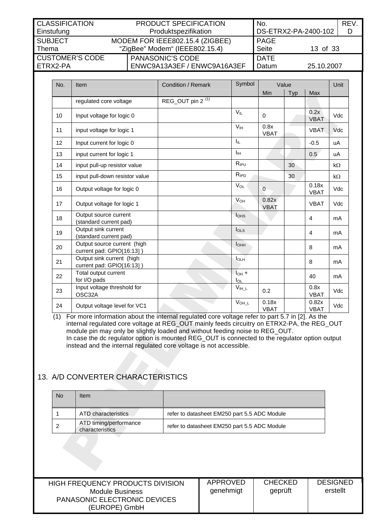<span id="page-12-0"></span>

| <b>CLASSIFICATION</b><br>Einstufung  |                                                                   | <b>PRODUCT SPECIFICATION</b><br>Produktspezifikation   | No.<br>DS-ETRX2-PA-2400-102 |            | REV.<br>D |
|--------------------------------------|-------------------------------------------------------------------|--------------------------------------------------------|-----------------------------|------------|-----------|
| <b>SUBJECT</b><br>Thema              | MODEM FOR IEEE802.15.4 (ZIGBEE)<br>"ZigBee" Modem" (IEEE802.15.4) |                                                        | <b>PAGE</b><br><b>Seite</b> | 13 of 33   |           |
| <b>CUSTOMER'S CODE</b><br>I ETRX2-PA |                                                                   | <b>PANASONIC'S CODE</b><br>ENWC9A13A3EF / ENWC9A16A3EF | <b>DATE</b><br>Datum        | 25.10.2007 |           |

| No. | Item                                                     | <b>Condition / Remark</b>    | Symbol                                          | Value                |     |                      | Unit       |
|-----|----------------------------------------------------------|------------------------------|-------------------------------------------------|----------------------|-----|----------------------|------------|
|     |                                                          |                              |                                                 | Min                  | Typ | Max                  |            |
|     | regulated core voltage                                   | REG_OUT pin 2 <sup>(1)</sup> |                                                 |                      |     |                      |            |
| 10  | Input voltage for logic 0                                |                              | $V_{IL}$                                        | $\Omega$             |     | 0.2x<br><b>VBAT</b>  | Vdc        |
| 11  | input voltage for logic 1                                |                              | V <sub>IH</sub>                                 | 0.8x<br><b>VBAT</b>  |     | <b>VBAT</b>          | <b>Vdc</b> |
| 12  | Input current for logic 0                                |                              | Ι'n.                                            |                      |     | $-0.5$               | uA         |
| 13  | input current for logic 1                                |                              | $I_{\rm IH}$                                    |                      |     | 0.5                  | uA         |
| 14  | input pull-up resistor value                             |                              | R <sub>IPU</sub>                                |                      | 30  |                      | $k\Omega$  |
| 15  | input pull-down resistor value                           |                              | $R_{\text{IPD}}$                                |                      | 30  |                      | $k\Omega$  |
| 16  | Output voltage for logic 0                               |                              | $V_{OL}$                                        | $\Omega$             |     | 0.18x<br><b>VBAT</b> | <b>Vdc</b> |
| 17  | Output voltage for logic 1                               |                              | $V_{OH}$                                        | 0.82x<br><b>VBAT</b> |     | <b>VBAT</b>          | <b>Vdc</b> |
| 18  | Output source current<br>(standard current pad)          |                              | <b>l</b> o <sub>HS</sub>                        |                      |     | $\overline{4}$       | mA         |
| 19  | Output sink current<br>(standard current pad)            |                              | $I_{OLS}$                                       |                      |     | 4                    | mA         |
| 20  | Output source current (high<br>current pad: GPIO[16:13]) |                              | I <sub>OHH</sub>                                |                      |     | 8                    | mA         |
| 21  | Output sink current (high<br>current pad: GPIO[16:13])   |                              | <b>IOLH</b>                                     |                      |     | 8                    | mA         |
| 22  | Total output current<br>for I/O pads                     |                              | $I_{OH}$ +<br>$I_{OL}$                          |                      |     | 40                   | mA         |
| 23  | Input voltage threshold for<br>OSC32A                    |                              | $\mathsf{V}_{\mathsf{I}\mathsf{H}\_}\mathsf{L}$ | 0.2                  |     | 0.8x<br><b>VBAT</b>  | Vdc        |
| 24  | Output voltage level for VC1                             |                              | $V_{OH\_L}$                                     | 0.18x<br><b>VBAT</b> |     | 0.82x<br><b>VBAT</b> | Vdc        |

<span id="page-12-1"></span>(1) For more information about the internal regulated core voltage refer to part 5.7 in [\[2\].](#page-32-2) As the internal regulated core voltage at REG\_OUT mainly feeds circuitry on ETRX2-PA, the REG\_OUT module pin may only be slightly loaded and without feeding noise to REG\_OUT. In case the dc regulator option is mounted REG\_OUT is connected to the regulator option output instead and the internal regulated core voltage is not accessible.

# 13. A/D CONVERTER CHARACTERISTICS

| No | Item                                      |                                              |
|----|-------------------------------------------|----------------------------------------------|
|    | ATD characteristics                       | refer to datasheet EM250 part 5.5 ADC Module |
|    | ATD timing/performance<br>characteristics | refer to datasheet EM250 part 5.5 ADC Module |

| HIGH FREQUENCY PRODUCTS DIVISION    | APPROVED  | <b>CHECKED</b> | <b>DESIGNED</b> |
|-------------------------------------|-----------|----------------|-----------------|
| Module Business                     | genehmigt | geprüft        | erstellt        |
| <b>PANASONIC ELECTRONIC DEVICES</b> |           |                |                 |
| (EUROPE) GmbH                       |           |                |                 |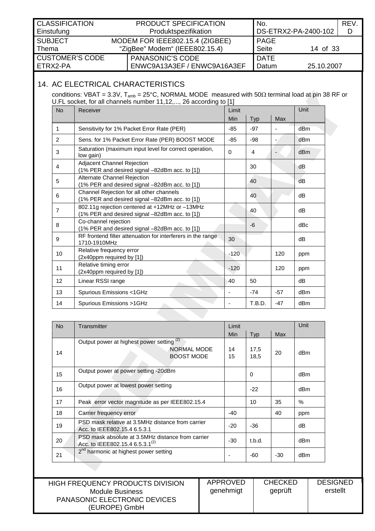<span id="page-13-0"></span>

| <b>CLASSIFICATION</b><br>Einstufung  |                                                                   | <b>PRODUCT SPECIFICATION</b><br>Produktspezifikation   | No.<br>DS-ETRX2-PA-2400-102 |            | <b>REV</b> |
|--------------------------------------|-------------------------------------------------------------------|--------------------------------------------------------|-----------------------------|------------|------------|
| I SUBJECT<br>Thema                   | MODEM FOR IEEE802.15.4 (ZIGBEE)<br>"ZigBee" Modem" (IEEE802.15.4) |                                                        | PAGE<br>Seite               | 14 of 33   |            |
| <b>CUSTOMER'S CODE</b><br>I ETRX2-PA |                                                                   | <b>PANASONIC'S CODE</b><br>ENWC9A13A3EF / ENWC9A16A3EF | <b>DATE</b><br>Datum        | 25.10.2007 |            |

# 14. AC ELECTRICAL CHARACTERISTICS

<span id="page-13-1"></span>conditions: VBAT = 3.3V, T<sub>amb</sub> = 25°C, NORMAL MODE measured with 50Ω terminal load at pin 38 RF or U.FL socket, for all channels number 11,12,..., 26 according to [\[1\]](#page-32-1) 

| <b>No</b>      | Receiver                                                                                         | Limit                        |        | Unit  |                 |
|----------------|--------------------------------------------------------------------------------------------------|------------------------------|--------|-------|-----------------|
|                |                                                                                                  | <b>Min</b>                   | Typ    | Max   |                 |
| 1              | Sensitivity for 1% Packet Error Rate (PER)                                                       | $-85$                        | $-97$  |       | dBm             |
| 2              | Sens. for 1% Packet Error Rate (PER) BOOST MODE                                                  | $-85$                        | -98    |       | d <sub>Bm</sub> |
| 3              | Saturation (maximum input level for correct operation,<br>low gain)                              | $\Omega$                     | 4      |       | dB <sub>m</sub> |
| 4              | Adjacent Channel Rejection<br>(1% PER and desired signal -82dBm acc. to [1])                     |                              | 30     |       | dB              |
| 5              | <b>Alternate Channel Rejection</b><br>(1% PER and desired signal -82dBm acc. to [1])             |                              | 40     |       | dB              |
| 6              | Channel Rejection for all other channels<br>(1% PER and desired signal -82dBm acc. to [1])       |                              | 40     |       | dB              |
| $\overline{7}$ | 802.11g rejection centered at +12MHz or -13MHz<br>(1% PER and desired signal -82dBm acc. to [1]) |                              | 40     |       | dB              |
| 8              | Co-channel rejection<br>(1% PER and desired signal -82dBm acc. to [1])                           |                              | -6     |       | dBc             |
| 9              | RF frontend filter attenuation for interferers in the range<br>1710-1910MHz                      | 30                           |        |       | dB              |
| 10             | Relative frequency error<br>(2x40ppm required by [1])                                            | $-120$                       |        | 120   | ppm             |
| 11             | Relative timing error<br>(2x40ppm required by [1])                                               | $-120$                       |        | 120   | ppm             |
| 12             | Linear RSSI range                                                                                | 40                           | 50     |       | dB              |
| 13             | Spurious Emissions <1GHz                                                                         | $\blacksquare$               | $-74$  | $-57$ | dB <sub>m</sub> |
| 14             | Spurious Emissions >1GHz                                                                         | $\qquad \qquad \blacksquare$ | T.B.D. | $-47$ | dB <sub>m</sub> |

| <b>No</b> | Transmitter                                                                                      | Limit    |              |     | Unit            |
|-----------|--------------------------------------------------------------------------------------------------|----------|--------------|-----|-----------------|
|           |                                                                                                  | Min.     | Typ          | Max |                 |
| 14        | Output power at highest power setting <sup>(2)</sup><br>NORMAL MODE<br><b>BOOST MODE</b>         | 14<br>15 | 17,5<br>18,5 | 20  | dBm             |
| 15        | Output power at power setting -20dBm                                                             |          | $\Omega$     |     | dB <sub>m</sub> |
| 16        | Output power at lowest power setting                                                             |          | $-22$        |     | dBm             |
| 17        | Peak error vector magnitude as per IEEE802.15.4                                                  |          | 10           | 35  | %               |
| 18        | Carrier frequency error                                                                          |          |              | 40  | ppm             |
| 19        | PSD mask relative at 3.5MHz distance from carrier<br>Acc. to IEEE802.15.4 6.5.3.1                |          | $-36$        |     | dB              |
| 20        | PSD mask absolute at 3.5MHz distance from carrier<br>Acc. to IEEE802.15.4 6.5.3.1 <sup>(2)</sup> |          | t.b.d.       |     | dBm             |
| 21        | 2 <sup>nd</sup> harmonic at highest power setting                                                |          | -60          | -30 | dBm             |

| HIGH FREQUENCY PRODUCTS DIVISION                     | APPROVED  | <b>CHECKED</b> | <b>DESIGNED</b> |
|------------------------------------------------------|-----------|----------------|-----------------|
| Module Business                                      | genehmigt | geprüft        | erstellt        |
| <b>PANASONIC ELECTRONIC DEVICES</b><br>(EUROPE) GmbH |           |                |                 |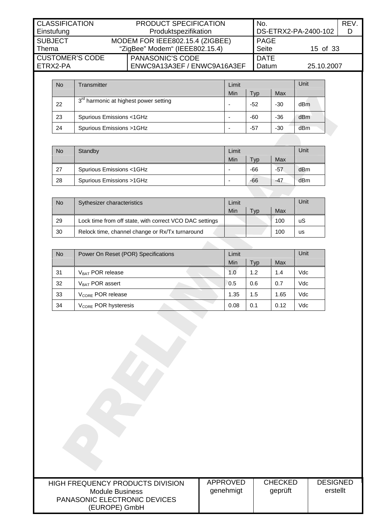| <b>CLASSIFICATION</b><br>Einstufung  | <b>PRODUCT SPECIFICATION</b><br>Produktspezifikation              | No.                         | DS-ETRX2-PA-2400-102 | <b>REV</b> |
|--------------------------------------|-------------------------------------------------------------------|-----------------------------|----------------------|------------|
| <b>SUBJECT</b><br>Thema              | MODEM FOR IEEE802.15.4 (ZIGBEE)<br>"ZigBee" Modem" (IEEE802.15.4) | <b>PAGE</b><br><b>Seite</b> | 15 of 33             |            |
| <b>CUSTOMER'S CODE</b><br>I FTRX2-PA | <b>PANASONIC'S CODE</b><br>ENWC9A13A3EF / ENWC9A16A3EF            | <b>DATE</b><br>Datum        | 25.10.2007           |            |

| <b>No</b> | Transmitter                                       | Limit |       | Unit  |                 |
|-----------|---------------------------------------------------|-------|-------|-------|-----------------|
|           |                                                   | Min   | Typ   | Max   |                 |
| 22        | 3 <sup>rd</sup> harmonic at highest power setting |       | $-52$ | $-30$ | dBm             |
| 23        | Spurious Emissions <1GHz                          |       | -60   | $-36$ | d <sub>Bm</sub> |
| 24        | Spurious Emissions >1GHz                          |       | -57   | -30   | dBm             |

| <b>No</b> | Standby                  | Limit |           |       | Unit |
|-----------|--------------------------|-------|-----------|-------|------|
|           |                          | Min   | <b>VD</b> | Max   |      |
| 27        | Spurious Emissions <1GHz | -     | $-66$     | $-57$ | dBm  |
| -28       | Spurious Emissions >1GHz | -     | $-66$     | $-47$ | dBm  |

| No | Sythesizer characteristics                              | Limit |           | Unit |    |
|----|---------------------------------------------------------|-------|-----------|------|----|
|    |                                                         | Min   | <b>VD</b> | Max  |    |
| 29 | Lock time from off state, with correct VCO DAC settings |       |           | 100  | uS |
| 30 | Relock time, channel change or Rx/Tx turnaround         |       |           | 100  | us |
|    |                                                         |       |           |      |    |

| <b>No</b> | Power On Reset (POR) Specifications | Limit |      |      | Unit |
|-----------|-------------------------------------|-------|------|------|------|
|           |                                     | Min   | Typ. | Max  |      |
| 31        | V <sub>BAT</sub> POR release        | 1.0   | 1.2  | 1.4  | Vdc  |
| 32        | $V_{BAT}$ POR assert                | 0.5   | 0.6  | 0.7  | Vdc  |
| 33        | V <sub>CORE</sub> POR release       | 1.35  | 1.5  | 1.65 | Vdc  |
| 34        | V <sub>CORE</sub> POR hysteresis    | 0.08  | 0.1  | 0.12 | Vdc  |

| HIGH FREQUENCY PRODUCTS DIVISION<br>Module Business<br><b>PANASONIC ELECTRONIC DEVICES</b><br>(EUROPE) GmbH | APPROVED<br>genehmigt | <b>CHECKED</b><br>geprüft | <b>DESIGNED</b><br>erstellt |
|-------------------------------------------------------------------------------------------------------------|-----------------------|---------------------------|-----------------------------|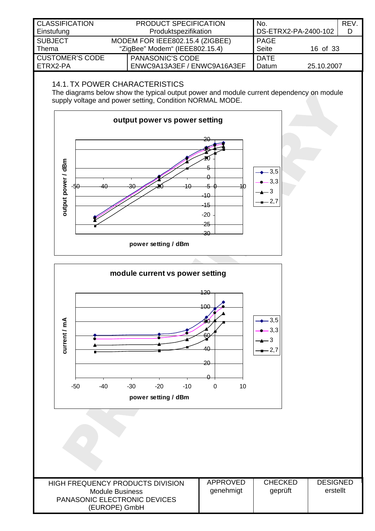<span id="page-15-0"></span>

| <b>CLASSIFICATION</b>  | <b>PRODUCT SPECIFICATION</b>    | No.          |                      | <b>REV</b> |
|------------------------|---------------------------------|--------------|----------------------|------------|
| Einstufung             | Produktspezifikation            |              | DS-ETRX2-PA-2400-102 | D          |
| <b>SUBJECT</b>         | MODEM FOR IEEE802.15.4 (ZIGBEE) | PAGE         |                      |            |
| Thema                  | "ZigBee" Modem" (IEEE802.15.4)  | <b>Seite</b> | 16 of 33             |            |
| <b>CUSTOMER'S CODE</b> | <b>PANASONIC'S CODE</b>         | <b>DATE</b>  |                      |            |
| ETRX2-PA               | ENWC9A13A3EF / ENWC9A16A3EF     | Datum        | 25.10.2007           |            |
|                        |                                 |              |                      |            |

## 14.1. TX POWER CHARACTERISTICS

The diagrams below show the typical output power and module current dependency on module supply voltage and power setting, Condition NORMAL MODE.

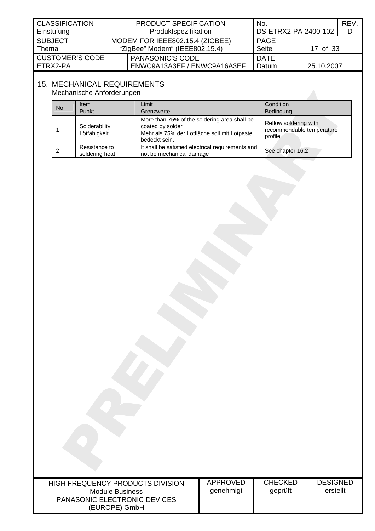<span id="page-16-0"></span>

| <b>CLASSIFICATION</b><br>Einstufung | <b>PRODUCT SPECIFICATION</b><br>Produktspezifikation              | No.<br>DS-ETRX2-PA-2400-102 |            | <b>REV</b><br>D |
|-------------------------------------|-------------------------------------------------------------------|-----------------------------|------------|-----------------|
| <b>SUBJECT</b><br>Thema             | MODEM FOR IEEE802.15.4 (ZIGBEE)<br>"ZigBee" Modem" (IEEE802.15.4) | PAGE<br><b>Seite</b>        | 17 of 33   |                 |
| <b>CUSTOMER'S CODE</b><br>ETRX2-PA  | <b>PANASONIC'S CODE</b><br>ENWC9A13A3EF / ENWC9A16A3EF            | <b>DATE</b><br>Datum        | 25.10.2007 |                 |

# 15. MECHANICAL REQUIREMENTS

Mechanische Anforderungen

| No. | <b>Item</b><br>Punkt            | Limit <sup>-</sup><br>Grenzwerte                                                                                                  | Condition<br>Bedingung                                        |
|-----|---------------------------------|-----------------------------------------------------------------------------------------------------------------------------------|---------------------------------------------------------------|
|     | Solderability<br>Lötfähigkeit   | More than 75% of the soldering area shall be<br>coated by solder<br>Mehr als 75% der Lötfläche soll mit Lötpaste<br>bedeckt sein. | Reflow soldering with<br>recommendable temperature<br>profile |
|     | Resistance to<br>soldering heat | It shall be satisfied electrical requirements and<br>not be mechanical damage                                                     | See chapter 16.2                                              |

| HIGH FREQUENCY PRODUCTS DIVISION    |
|-------------------------------------|
| Module Business                     |
| <b>PANASONIC ELECTRONIC DEVICES</b> |
| (EUROPE) GmbH                       |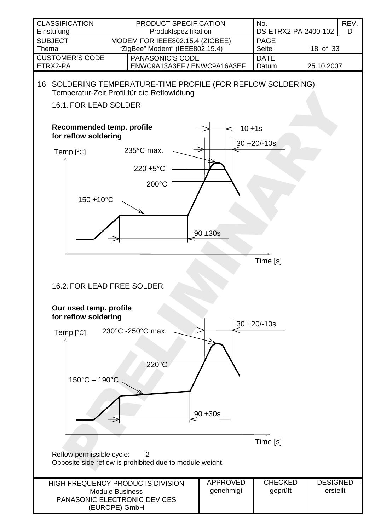<span id="page-17-1"></span><span id="page-17-0"></span>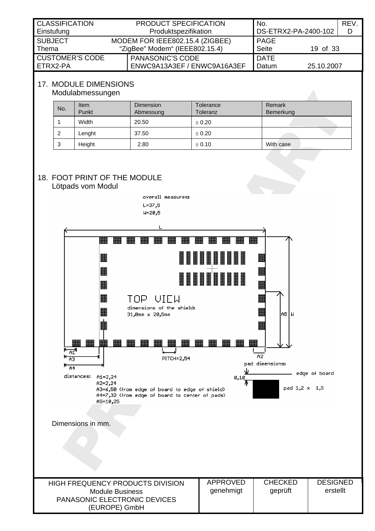<span id="page-18-0"></span>

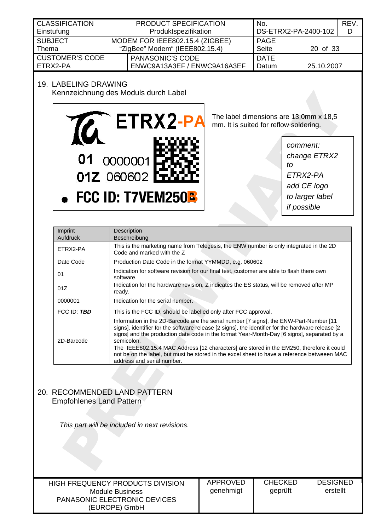<span id="page-19-0"></span>

| <b>CLASSIFICATION</b>  | PRODUCT SPECIFICATION           | No.                  |            | <b>REV</b> |
|------------------------|---------------------------------|----------------------|------------|------------|
| Einstufung             | Produktspezifikation            | DS-ETRX2-PA-2400-102 |            |            |
| <b>SUBJECT</b>         | MODEM FOR IEEE802.15.4 (ZIGBEE) | PAGE                 |            |            |
| Thema                  | "ZigBee" Modem" (IEEE802.15.4)  |                      | 20 of 33   |            |
| <b>CUSTOMER'S CODE</b> | PANASONIC'S CODE                | <b>DATE</b>          |            |            |
| FTRX2-PA               | ENWC9A13A3EF / ENWC9A16A3EF     | Datum                | 25.10.2007 |            |

## 19. LABELING DRAWING



The label dimensions are 13,0mm x 18,5 mm. It is suited for reflow soldering.

*comment: change ETRX2 to ETRX2-PA add CE logo to larger label if possible* 

| Imprint<br>Aufdruck | Description<br><b>Beschreibung</b>                                                                                                                                                                                                                                                                                                                                                                                                                                                                                               |
|---------------------|----------------------------------------------------------------------------------------------------------------------------------------------------------------------------------------------------------------------------------------------------------------------------------------------------------------------------------------------------------------------------------------------------------------------------------------------------------------------------------------------------------------------------------|
| ETRX2-PA            | This is the marketing name from Telegesis, the ENW number is only integrated in the 2D<br>Code and marked with the Z                                                                                                                                                                                                                                                                                                                                                                                                             |
| Date Code           | Production Date Code in the format YYMMDD, e.g. 060602                                                                                                                                                                                                                                                                                                                                                                                                                                                                           |
| 01                  | Indication for software revision for our final test, customer are able to flash there own<br>software.                                                                                                                                                                                                                                                                                                                                                                                                                           |
| 01Z                 | Indication for the hardware revision, Z indicates the ES status, will be removed after MP<br>ready.                                                                                                                                                                                                                                                                                                                                                                                                                              |
| 0000001             | Indication for the serial number.                                                                                                                                                                                                                                                                                                                                                                                                                                                                                                |
| FCC ID: TBD         | This is the FCC ID, should be labelled only after FCC approval.                                                                                                                                                                                                                                                                                                                                                                                                                                                                  |
| 2D-Barcode          | Information in the 2D-Barcode are the serial number [7 signs], the ENW-Part-Number [11<br>signs], identifier for the software release [2 signs], the identifier for the hardware release [2<br>signs] and the production date code in the format Year-Month-Day [6 signs], separated by a<br>semicolon.<br>The IEEE802.15.4 MAC Address [12 characters] are stored in the EM250, therefore it could<br>not be on the label, but must be stored in the excel sheet to have a reference betweeen MAC<br>address and serial number. |

### 20. RECOMMENDED LAND PATTERN Empfohlenes Land Pattern

 *This part will be included in next revisions.* 

HIGH FREQUENCY PRODUCTS DIVISION Module Business PANASONIC ELECTRONIC DEVICES (EUROPE) GmbH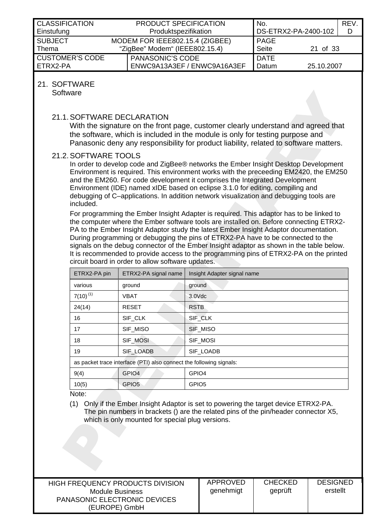<span id="page-20-0"></span>

| <b>CLASSIFICATION</b>  | <b>PRODUCT SPECIFICATION</b>                   | No.         |                      | REV. |
|------------------------|------------------------------------------------|-------------|----------------------|------|
| Einstufung             | Produktspezifikation                           |             | DS-ETRX2-PA-2400-102 | D    |
| <b>SUBJECT</b>         | <b>PAGE</b><br>MODEM FOR IEEE802.15.4 (ZIGBEE) |             |                      |      |
| Thema                  | <b>Seite</b><br>"ZigBee" Modem" (IEEE802.15.4) |             | 21 of 33             |      |
| <b>CUSTOMER'S CODE</b> | <b>PANASONIC'S CODE</b>                        | <b>DATE</b> |                      |      |
| ETRX2-PA               | ENWC9A13A3EF / ENWC9A16A3EF                    | Datum       | 25.10.2007           |      |
|                        |                                                |             |                      |      |

#### 21. SOFTWARE

<span id="page-20-1"></span>**Software** 

### 21.1. SOFTWARE DECLARATION

With the signature on the front page, customer clearly understand and agreed that the software, which is included in the module is only for testing purpose and Panasonic deny any responsibility for product liability, related to software matters.

#### 21.2. SOFTWARE TOOLS

In order to develop code and ZigBee® networks the Ember Insight Desktop Development Environment is required. This environment works with the preceeding EM2420, the EM250 and the EM260. For code development it comprises the Integrated Development Environment (IDE) named xIDE based on eclipse 3.1.0 for editing, compiling and debugging of C–applications. In addition network visualization and debugging tools are included.

For programming the Ember Insight Adapter is required. This adaptor has to be linked to the computer where the Ember software tools are installed on. Before connecting ETRX2- PA to the Ember Insight Adaptor study the latest Ember Insight Adaptor documentation. During programming or debugging the pins of ETRX2-PA have to be connected to the signals on the debug connector of the Ember Insight adaptor as shown in the table below. It is recommended to provide access to the programming pins of ETRX2-PA on the printed circuit board in order to allow software updates.

| ETRX2-PA pin  | ETRX2-PA signal name                                                | Insight Adapter signal name |
|---------------|---------------------------------------------------------------------|-----------------------------|
| various       | ground                                                              | ground                      |
| $7(10)^{(1)}$ | <b>VBAT</b>                                                         | $3.0$ $Vdc$                 |
| 24(14)        | <b>RESET</b>                                                        | <b>RSTB</b>                 |
| 16            | SIF_CLK                                                             | SIF CLK                     |
| 17            | SIF_MISO                                                            | SIF_MISO                    |
| 18            | SIF MOSI                                                            | SIF_MOSI                    |
| 19            | SIF_LOADB                                                           | SIF_LOADB                   |
|               | as packet trace interface (PTI) also connect the following signals: |                             |
| 9(4)          | GPIO <sub>4</sub>                                                   | GPIO <sub>4</sub>           |
| 10(5)         | GPIO <sub>5</sub>                                                   | GPIO <sub>5</sub>           |

Note:

<span id="page-20-2"></span>(1) Only if the Ember Insight Adaptor is set to powering the target device ETRX2-PA. The pin numbers in brackets () are the related pins of the pin/header connector X5, which is only mounted for special plug versions.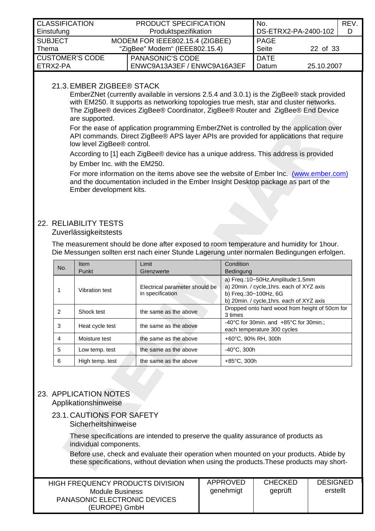<span id="page-21-0"></span>

| <b>CLASSIFICATION</b><br>Einstufung | PRODUCT SPECIFICATION<br>Produktspezifikation                     | No.<br>DS-ETRX2-PA-2400-102 |                             | REV.<br>D  |  |
|-------------------------------------|-------------------------------------------------------------------|-----------------------------|-----------------------------|------------|--|
| <b>SUBJECT</b><br>Thema             | MODEM FOR IEEE802.15.4 (ZIGBEE)<br>"ZigBee" Modem" (IEEE802.15.4) |                             | <b>PAGE</b><br><b>Seite</b> | 22 of 33   |  |
| <b>CUSTOMER'S CODE</b><br>ETRX2-PA  | <b>PANASONIC'S CODE</b>                                           | ENWC9A13A3EF / ENWC9A16A3EF | <b>DATE</b><br>Datum        | 25.10.2007 |  |

## 21.3. EMBER ZIGBEE® STACK

EmberZNet (currently available in versions 2.5.4 and 3.0.1) is the ZigBee® stack provided with EM250. It supports as networking topologies true mesh, star and cluster networks. The ZigBee® devices ZigBee® Coordinator, ZigBee® Router and ZigBee® End Device are supported.

For the ease of application programming EmberZNet is controlled by the application over API commands. Direct ZigBee® APS layer APIs are provided for applications that require low level ZigBee® control.

According to [\[1\]](#page-32-1) each ZigBee® device has a unique address. This address is provided by Ember Inc. with the EM250.

For more information on the items above see the website of Ember Inc. [\(www.ember.com\)](http://www.ember.com/) and the documentation included in the Ember Insight Desktop package as part of the Ember development kits.

# 22. RELIABILITY TESTS

#### Zuverlässigkeitstests

The measurement should be done after exposed to room temperature and humidity for 1hour. Die Messungen sollten erst nach einer Stunde Lagerung unter normalen Bedingungen erfolgen.

| No. | Item            | Limit                                              | Condition                                                                                                                                             |
|-----|-----------------|----------------------------------------------------|-------------------------------------------------------------------------------------------------------------------------------------------------------|
|     | Punkt           | Grenzwerte                                         | <b>Bedingung</b>                                                                                                                                      |
|     | Vibration test  | Electrical parameter should be<br>in specification | a) Freq.:10~50Hz, Amplitude:1.5mm<br>a) 20min. / cycle, 1hrs. each of XYZ axis<br>b) Freg.: 30~100Hz, 6G<br>b) 20min. / cycle, 1hrs. each of XYZ axis |
| 2   | Shock test      | the same as the above                              | Dropped onto hard wood from height of 50cm for<br>3 times                                                                                             |
| 3   | Heat cycle test | the same as the above                              | $-40^{\circ}$ C for 30min. and $+85^{\circ}$ C for 30min.;<br>each temperature 300 cycles                                                             |
| 4   | Moisture test   | the same as the above                              | +60°C, 90% RH, 300h                                                                                                                                   |
| 5   | Low temp. test  | the same as the above                              | $-40^{\circ}$ C. 300h                                                                                                                                 |
| 6   | High temp. test | the same as the above                              | $+85^{\circ}$ C, 300h                                                                                                                                 |

# 23. APPLICATION NOTES

Applikationshinweise

#### 23.1. CAUTIONS FOR SAFETY Sicherheitshinweise

These specifications are intended to preserve the quality assurance of products as individual components.

Before use, check and evaluate their operation when mounted on your products. Abide by these specifications, without deviation when using the products.These products may short-

| HIGH FREQUENCY PRODUCTS DIVISION<br>Module Business<br><b>PANASONIC ELECTRONIC DEVICES</b><br>(EUROPE) GmbH | APPROVED<br>genehmigt | <b>CHECKED</b><br>geprüft | <b>DESIGNED</b><br>erstellt |
|-------------------------------------------------------------------------------------------------------------|-----------------------|---------------------------|-----------------------------|
|-------------------------------------------------------------------------------------------------------------|-----------------------|---------------------------|-----------------------------|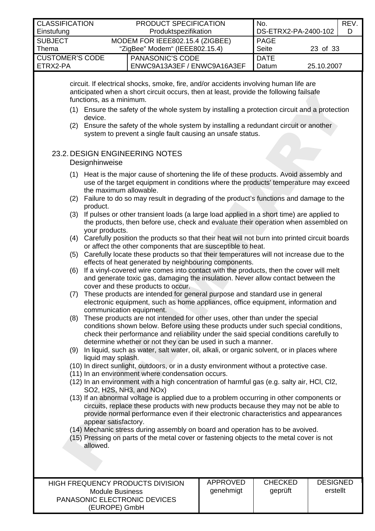<span id="page-22-0"></span>

| <b>CLASSIFICATION</b><br>Einstufung |                                     |                                    | PRODUCT SPECIFICATION<br>Produktspezifikation                                                                                                                                                                                                                                                                                                                          | No.                  | DS-ETRX2-PA-2400-102 | REV.<br>D |
|-------------------------------------|-------------------------------------|------------------------------------|------------------------------------------------------------------------------------------------------------------------------------------------------------------------------------------------------------------------------------------------------------------------------------------------------------------------------------------------------------------------|----------------------|----------------------|-----------|
| <b>SUBJECT</b><br>Thema             |                                     | "ZigBee" Modem" (IEEE802.15.4)     | MODEM FOR IEEE802.15.4 (ZIGBEE)                                                                                                                                                                                                                                                                                                                                        | <b>PAGE</b><br>Seite | 23 of 33             |           |
| <b>CUSTOMER'S CODE</b><br>ETRX2-PA  |                                     | PANASONIC'S CODE                   | ENWC9A13A3EF / ENWC9A16A3EF                                                                                                                                                                                                                                                                                                                                            | <b>DATE</b><br>Datum | 25.10.2007           |           |
| (2)                                 | functions, as a minimum.<br>device. |                                    | circuit. If electrical shocks, smoke, fire, and/or accidents involving human life are<br>anticipated when a short circuit occurs, then at least, provide the following failsafe<br>(1) Ensure the safety of the whole system by installing a protection circuit and a protection<br>Ensure the safety of the whole system by installing a redundant circuit or another |                      |                      |           |
|                                     | Designhinweise                      | 23.2. DESIGN ENGINEERING NOTES     | system to prevent a single fault causing an unsafe status.                                                                                                                                                                                                                                                                                                             |                      |                      |           |
| (1)                                 | the maximum allowable.              |                                    | Heat is the major cause of shortening the life of these products. Avoid assembly and<br>use of the target equipment in conditions where the products' temperature may exceed<br>(2) Failure to do so may result in degrading of the product's functions and damage to the                                                                                              |                      |                      |           |
|                                     | product.<br>your products.          |                                    | (3) If pulses or other transient loads (a large load applied in a short time) are applied to<br>the products, then before use, check and evaluate their operation when assembled on                                                                                                                                                                                    |                      |                      |           |
| (4)                                 |                                     |                                    | Carefully position the products so that their heat will not burn into printed circuit boards<br>or affect the other components that are susceptible to heat.                                                                                                                                                                                                           |                      |                      |           |
| (5)                                 |                                     |                                    | Carefully locate these products so that their temperatures will not increase due to the<br>effects of heat generated by neighbouring components.                                                                                                                                                                                                                       |                      |                      |           |
| (6)                                 |                                     |                                    | If a vinyl-covered wire comes into contact with the products, then the cover will melt<br>and generate toxic gas, damaging the insulation. Never allow contact between the                                                                                                                                                                                             |                      |                      |           |
| (7)                                 | communication equipment.            | cover and these products to occur. | These products are intended for general purpose and standard use in general<br>electronic equipment, such as home appliances, office equipment, information and                                                                                                                                                                                                        |                      |                      |           |
| (8)                                 |                                     |                                    | These products are not intended for other uses, other than under the special<br>conditions shown below. Before using these products under such special conditions,<br>check their performance and reliability under the said special conditions carefully to<br>determine whether or not they can be used in such a manner.                                            |                      |                      |           |
| (9)                                 | liquid may splash.                  |                                    | In liquid, such as water, salt water, oil, alkali, or organic solvent, or in places where                                                                                                                                                                                                                                                                              |                      |                      |           |

- (10) In direct sunlight, outdoors, or in a dusty environment without a protective case.
- (11) In an environment where condensation occurs.
- (12) In an environment with a high concentration of harmful gas (e.g. salty air, HCl, Cl2, SO2, H2S, NH3, and NOx)
- (13) If an abnormal voltage is applied due to a problem occurring in other components or circuits, replace these products with new products because they may not be able to provide normal performance even if their electronic characteristics and appearances appear satisfactory.
- (14) Mechanic stress during assembly on board and operation has to be avoived.
- (15) Pressing on parts of the metal cover or fastening objects to the metal cover is not allowed.

| HIGH FREQUENCY PRODUCTS DIVISION<br>Module Business<br><b>PANASONIC ELECTRONIC DEVICES</b><br>(EUROPE) GmbH | APPROVED<br>genehmigt | <b>CHECKED</b><br>geprüft | <b>DESIGNED</b><br>erstellt |
|-------------------------------------------------------------------------------------------------------------|-----------------------|---------------------------|-----------------------------|
|-------------------------------------------------------------------------------------------------------------|-----------------------|---------------------------|-----------------------------|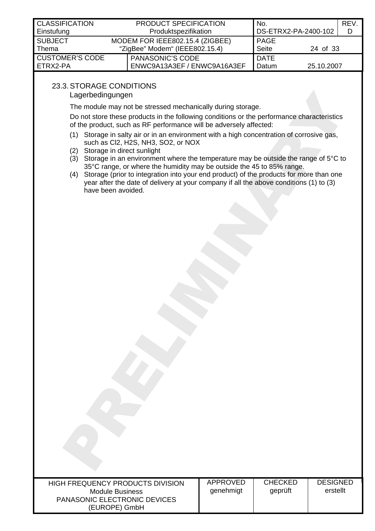<span id="page-23-0"></span>

| <b>CLASSIFICATION</b><br>Einstufung | <b>PRODUCT SPECIFICATION</b><br>Produktspezifikation                                             | No.<br>DS-ETRX2-PA-2400-102 |            | REV.<br>D |
|-------------------------------------|--------------------------------------------------------------------------------------------------|-----------------------------|------------|-----------|
| <b>SUBJECT</b><br>Thema             | <b>PAGE</b><br>MODEM FOR IEEE802.15.4 (ZIGBEE)<br><b>Seite</b><br>"ZigBee" Modem" (IEEE802.15.4) |                             | 24 of 33   |           |
| <b>CUSTOMER'S CODE</b><br>ETRX2-PA  | <b>PANASONIC'S CODE</b><br>ENWC9A13A3EF / ENWC9A16A3EF                                           | <b>DATE</b><br>Datum        | 25.10.2007 |           |

# 23.3. STORAGE CONDITIONS

Lagerbedingungen

The module may not be stressed mechanically during storage.

Do not store these products in the following conditions or the performance characteristics of the product, such as RF performance will be adversely affected:

- (1) Storage in salty air or in an environment with a high concentration of corrosive gas, such as Cl2, H2S, NH3, SO2, or NOX
- (2) Storage in direct sunlight
- (3) Storage in an environment where the temperature may be outside the range of  $5^{\circ}$ C to 35°C range, or where the humidity may be outside the 45 to 85% range.
- (4) Storage (prior to integration into your end product) of the products for more than one year after the date of delivery at your company if all the above conditions (1) to (3) have been avoided.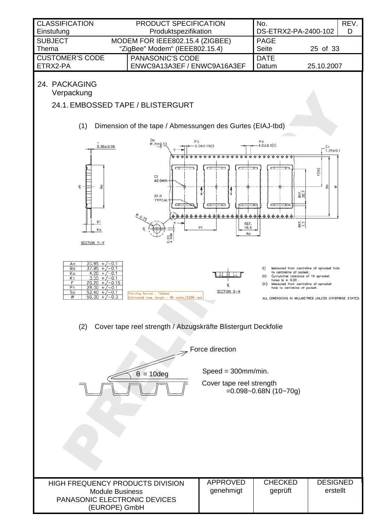<span id="page-24-0"></span>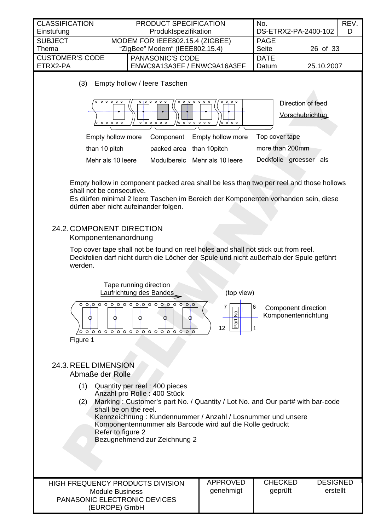<span id="page-25-0"></span>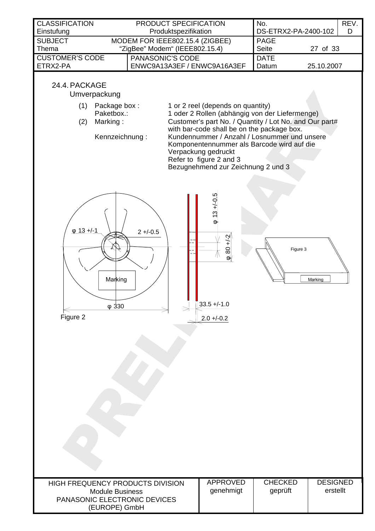<span id="page-26-0"></span>

| <b>CLASSIFICATION</b><br>Einstufung                                                                         | PRODUCT SPECIFICATION<br>Produktspezifikation                     |                                                                                                                                                                                                                                                                                                                                                                                   | No.<br>DS-ETRX2-PA-2400-102 | REV.<br>D                   |
|-------------------------------------------------------------------------------------------------------------|-------------------------------------------------------------------|-----------------------------------------------------------------------------------------------------------------------------------------------------------------------------------------------------------------------------------------------------------------------------------------------------------------------------------------------------------------------------------|-----------------------------|-----------------------------|
| <b>SUBJECT</b><br>Thema                                                                                     | MODEM FOR IEEE802.15.4 (ZIGBEE)<br>"ZigBee" Modem" (IEEE802.15.4) |                                                                                                                                                                                                                                                                                                                                                                                   | <b>PAGE</b><br>Seite        | 27 of 33                    |
| <b>CUSTOMER'S CODE</b>                                                                                      | PANASONIC'S CODE                                                  |                                                                                                                                                                                                                                                                                                                                                                                   | <b>DATE</b>                 |                             |
| ETRX2-PA                                                                                                    | ENWC9A13A3EF / ENWC9A16A3EF                                       |                                                                                                                                                                                                                                                                                                                                                                                   | Datum                       | 25.10.2007                  |
| 24.4. PACKAGE<br>Umverpackung<br>(1)<br>Package box:<br>Paketbox.:<br>Marking:<br>(2)<br>Kennzeichnung:     |                                                                   | 1 or 2 reel (depends on quantity)<br>1 oder 2 Rollen (abhängig von der Liefermenge)<br>Customer's part No. / Quantity / Lot No. and Our part#<br>with bar-code shall be on the package box.<br>Kundennummer / Anzahl / Losnummer und unsere<br>Komponentennummer als Barcode wird auf die<br>Verpackung gedruckt<br>Refer to figure 2 and 3<br>Bezugnehmend zur Zeichnung 2 und 3 |                             |                             |
| $\phi$ 13 +/-1<br>Marking<br>$\varphi$ 330<br>Figure 2                                                      | $2 + (-0.5)$                                                      | $\varphi$ 13 +/-0.5<br>$480 + 2$<br>$33.5 + (-1.0)$<br>$2.0 + -0.2$                                                                                                                                                                                                                                                                                                               | Figure 3                    | Marking                     |
|                                                                                                             |                                                                   |                                                                                                                                                                                                                                                                                                                                                                                   |                             |                             |
| HIGH FREQUENCY PRODUCTS DIVISION<br><b>Module Business</b><br>PANASONIC ELECTRONIC DEVICES<br>(EUROPE) GmbH |                                                                   | <b>APPROVED</b><br>genehmigt                                                                                                                                                                                                                                                                                                                                                      | <b>CHECKED</b><br>geprüft   | <b>DESIGNED</b><br>erstellt |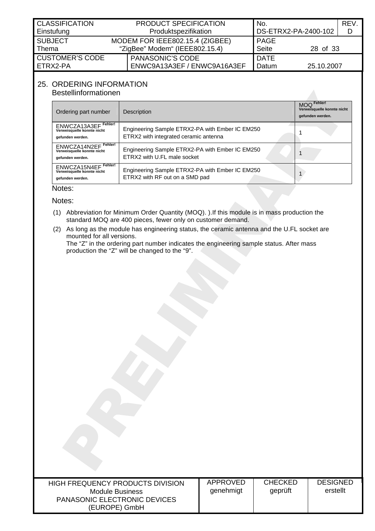<span id="page-27-0"></span>

| <b>CLASSIFICATION</b><br>Einstufung | <b>PRODUCT SPECIFICATION</b><br>Produktspezifikation |                                                                                                  | No.<br>DS-ETRX2-PA-2400-102 |            | REV.<br>D |
|-------------------------------------|------------------------------------------------------|--------------------------------------------------------------------------------------------------|-----------------------------|------------|-----------|
| <b>SUBJECT</b><br>Thema             |                                                      | MODEM FOR IEEE802.15.4 (ZIGBEE)<br><b>PAGE</b><br><b>Seite</b><br>"ZigBee" Modem" (IEEE802.15.4) |                             | 28 of 33   |           |
| <b>CUSTOMER'S CODE</b><br>ETRX2-PA  |                                                      | <b>PANASONIC'S CODE</b><br>ENWC9A13A3EF / ENWC9A16A3EF                                           | <b>DATE</b><br>Datum        | 25.10.2007 |           |

# 25. ORDERING INFORMATION

<span id="page-27-1"></span>Bestellinformationen

| Ordering part number                                                      | Description                                                                              | MOQ Fehler!<br>Verweisquelle konnte nicht<br>gefunden werden. |
|---------------------------------------------------------------------------|------------------------------------------------------------------------------------------|---------------------------------------------------------------|
| Fehler!<br>ENWCZA13A3EF<br>Verweisquelle konnte nicht<br>gefunden werden. | Engineering Sample ETRX2-PA with Ember IC EM250<br>ETRX2 with integrated ceramic antenna |                                                               |
| Fehler!<br>ENWCZA14N2EF<br>Verweisquelle konnte nicht<br>gefunden werden. | Engineering Sample ETRX2-PA with Ember IC EM250<br>ETRX2 with U.FL male socket           |                                                               |
| Fehler!<br>ENWCZA15N4EF<br>Verweisquelle konnte nicht<br>gefunden werden. | Engineering Sample ETRX2-PA with Ember IC EM250<br>ETRX2 with RF out on a SMD pad        |                                                               |

## Notes:

Notes:

- (1) Abbreviation for Minimum Order Quantity (MOQ). ).If this module is in mass production the standard MOQ are 400 pieces, fewer only on customer demand.
- (2) As long as the module has engineering status, the ceramic antenna and the U.FL socket are mounted for all versions.

The "Z" in the ordering part number indicates the engineering sample status. After mass production the "Z" will be changed to the "9".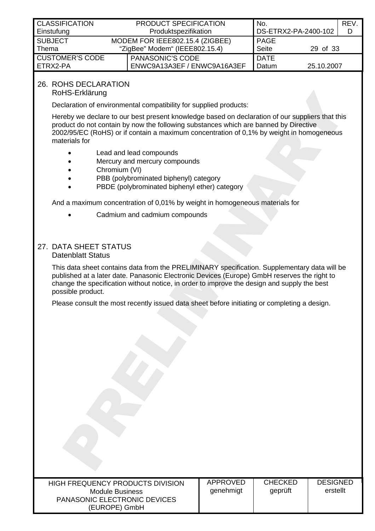<span id="page-28-0"></span>

| <b>CLASSIFICATION</b>  | <b>PRODUCT SPECIFICATION</b>                   | No.         |                      | REV. |
|------------------------|------------------------------------------------|-------------|----------------------|------|
| Einstufung             | Produktspezifikation                           |             | DS-ETRX2-PA-2400-102 |      |
| <b>SUBJECT</b>         | MODEM FOR IEEE802.15.4 (ZIGBEE)                | <b>PAGE</b> |                      |      |
| Thema                  | <b>Seite</b><br>"ZigBee" Modem" (IEEE802.15.4) |             | 29 of 33             |      |
| <b>CUSTOMER'S CODE</b> | <b>PANASONIC'S CODE</b>                        | <b>DATE</b> |                      |      |
| ETRX2-PA               | ENWC9A13A3EF / ENWC9A16A3EF                    | Datum       | 25.10.2007           |      |
|                        |                                                |             |                      |      |

# 26. ROHS DECLARATION

RoHS-Erklärung

Declaration of environmental compatibility for supplied products:

Hereby we declare to our best present knowledge based on declaration of our suppliers that this product do not contain by now the following substances which are banned by Directive 2002/95/EC (RoHS) or if contain a maximum concentration of 0,1% by weight in homogeneous materials for

- Lead and lead compounds
- Mercury and mercury compounds
- Chromium (VI)
- PBB (polybrominated biphenyl) category
- PBDE (polybrominated biphenyl ether) category

And a maximum concentration of 0,01% by weight in homogeneous materials for

• Cadmium and cadmium compounds

# 27. DATA SHEET STATUS

### Datenblatt Status

This data sheet contains data from the PRELIMINARY specification. Supplementary data will be published at a later date. Panasonic Electronic Devices (Europe) GmbH reserves the right to change the specification without notice, in order to improve the design and supply the best possible product.

Please consult the most recently issued data sheet before initiating or completing a design.

| HIGH FREQUENCY PRODUCTS DIVISION |
|----------------------------------|
| Module Business                  |
| PANASONIC ELECTRONIC DEVICES     |
| (EUROPE) GmbH                    |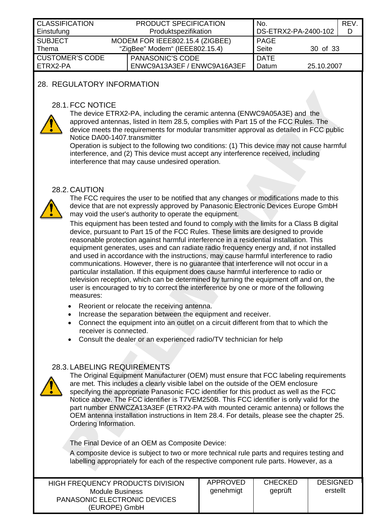<span id="page-29-0"></span>

| <b>CLASSIFICATION</b><br>Einstufung | <b>PRODUCT SPECIFICATION</b><br>No.<br>DS-ETRX2-PA-2400-102<br>Produktspezifikation |                                                        |                             | REV.<br>D  |  |
|-------------------------------------|-------------------------------------------------------------------------------------|--------------------------------------------------------|-----------------------------|------------|--|
| <b>SUBJECT</b><br>Thema             | MODEM FOR IEEE802.15.4 (ZIGBEE)<br>"ZigBee" Modem" (IEEE802.15.4)                   |                                                        | <b>PAGE</b><br><b>Seite</b> | 30 of 33   |  |
| <b>CUSTOMER'S CODE</b><br>ETRX2-PA  |                                                                                     | <b>PANASONIC'S CODE</b><br>ENWC9A13A3EF / ENWC9A16A3EF | <b>DATE</b><br>Datum        | 25.10.2007 |  |

## 28. REGULATORY INFORMATION

#### 28.1. FCC NOTICE



<span id="page-29-1"></span>The device ETRX2-PA, including the ceramic antenna (ENWC9A05A3E) and the approved antennas, listed in Item 28.5, complies with Part 15 of the FCC Rules. The device meets the requirements for modular transmitter approval as detailed in FCC public Notice DA00-1407.transmitter

Operation is subject to the following two conditions: (1) This device may not cause harmful interference, and (2) This device must accept any interference received, including interference that may cause undesired operation.

#### 28.2. CAUTION



The FCC requires the user to be notified that any changes or modifications made to this device that are not expressly approved by Panasonic Electronic Devices Europe GmbH may void the user's authority to operate the equipment.

This equipment has been tested and found to comply with the limits for a Class B digital device, pursuant to Part 15 of the FCC Rules. These limits are designed to provide reasonable protection against harmful interference in a residential installation. This equipment generates, uses and can radiate radio frequency energy and, if not installed and used in accordance with the instructions, may cause harmful interference to radio communications. However, there is no guarantee that interference will not occur in a particular installation. If this equipment does cause harmful interference to radio or television reception, which can be determined by turning the equipment off and on, the user is encouraged to try to correct the interference by one or more of the following measures:

- Reorient or relocate the receiving antenna.
- Increase the separation between the equipment and receiver.
- Connect the equipment into an outlet on a circuit different from that to which the receiver is connected.
- Consult the dealer or an experienced radio/TV technician for help

## 28.3. LABELING REQUIREMENTS



<span id="page-29-2"></span>The Original Equipment Manufacturer (OEM) must ensure that FCC labeling requirements are met. This includes a clearly visible label on the outside of the OEM enclosure specifying the appropriate Panasonic FCC identifier for this product as well as the FCC Notice above. The FCC identifier is T7VEM250B. This FCC identifier is only valid for the part number ENWCZA13A3EF (ETRX2-PA with mounted ceramic antenna) or follows the OEM antenna installation instructions in Item [28.4.](#page-30-1) For details, please see the chapter [25.](#page-27-1) [Ordering Information.](#page-27-1)

The Final Device of an OEM as Composite Device:

A composite device is subject to two or more technical rule parts and requires testing and labelling appropriately for each of the respective component rule parts. However, as a

| HIGH FREQUENCY PRODUCTS DIVISION    | APPROVED  | <b>CHECKED</b> | <b>DESIGNED</b> |
|-------------------------------------|-----------|----------------|-----------------|
| Module Business                     | genehmigt | geprüft        | erstellt        |
| <b>PANASONIC ELECTRONIC DEVICES</b> |           |                |                 |
| (EUROPE) GmbH                       |           |                |                 |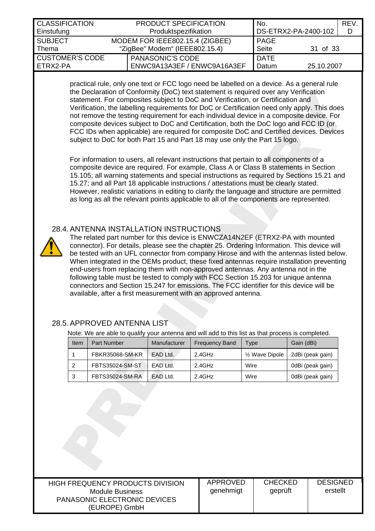<span id="page-30-0"></span>

| <b>CLASSIFICATION</b><br>Einstufung  | <b>PRODUCT SPECIFICATION</b><br>Produktspezifikation              |                                                        | No.<br>DS-ETRX2-PA-2400-102 |            | REV.<br>D |
|--------------------------------------|-------------------------------------------------------------------|--------------------------------------------------------|-----------------------------|------------|-----------|
| <b>SUBJECT</b><br>Thema              | MODEM FOR IEEE802.15.4 (ZIGBEE)<br>"ZigBee" Modem" (IEEE802.15.4) |                                                        | <b>PAGE</b><br>Seite        | 31 of 33   |           |
| <b>CUSTOMER'S CODE</b><br>I ETRX2-PA |                                                                   | <b>PANASONIC'S CODE</b><br>ENWC9A13A3EF / ENWC9A16A3EF | <b>DATE</b><br>Datum        | 25.10.2007 |           |

practical rule, only one text or FCC logo need be labelled on a device. As a general rule the Declaration of Conformity (DoC) text statement is required over any Verification statement. For composites subject to DoC and Verification, or Certification and Verification, the labelling requirements for DoC or Certification need only apply. This does not remove the testing requirement for each individual device in a composite device. For composite devices subject to DoC and Certification, both the DoC logo and FCC ID (or FCC IDs when applicable) are required for composite DoC and Certified devices. Devices subject to DoC for both Part 15 and Part 18 may use only the Part 15 logo.

For information to users, all relevant instructions that pertain to all components of a composite device are required. For example, Class A or Class B statements in Section 15.105; all warning statements and special instructions as required by Sections 15.21 and 15.27; and all Part 18 applicable instructions / attestations must be clearly stated. However, realistic variations in editing to clarify the language and structure are permitted as long as all the relevant points applicable to all of the components are represented.

## 28.4. ANTENNA INSTALLATION INSTRUCTIONS



<span id="page-30-1"></span>The related part number for this device is ENWCZA14N2EF (ETRX2-PA with mounted connector). For details, please see the chapter [25. Ordering Information.](#page-27-1) This device will be tested with an UFL connector from company Hirose and with the antennas listed below. When integrated in the OEMs product, these fixed antennas require installation preventing end-users from replacing them with non-approved antennas. Any antenna not in the following table must be tested to comply with FCC Section 15.203 for unique antenna connectors and Section 15.247 for emissions. The FCC identifier for this device will be available, after a first measurement with an approved antenna.

#### 28.5. APPROVED ANTENNA LIST

Note: We are able to qualify your antenna and will add to this list as that process is completed.

| Item | <b>Part Number</b>     | Manufacturer | <b>Frequency Band</b> | <b>Type</b>                 | Gain (dBi)       |
|------|------------------------|--------------|-----------------------|-----------------------------|------------------|
|      | <b>FBKR35068-SM-KR</b> | EAD Ltd.     | 2.4GHz                | 1/ <sub>2</sub> Wave Dipole | 2dBi (peak gain) |
|      | FBTS35024-SM-ST        | EAD Ltd.     | 2.4GHz                | Wire                        | 0dBi (peak gain) |
| ີ    | FBTS35024-SM-RA        | EAD Ltd.     | 2.4GHz                | Wire                        | 0dBi (peak gain) |

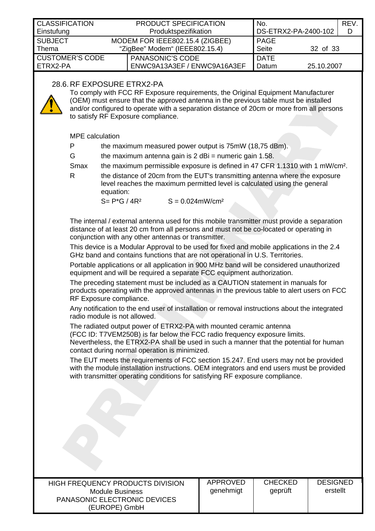<span id="page-31-0"></span>

| <b>CLASSIFICATION</b><br>Einstufung                                                                            |  | PRODUCT SPECIFICATION<br>Produktspezifikation                     | No.                         | DS-ETRX2-PA-2400-102 | REV.<br>D |  |  |
|----------------------------------------------------------------------------------------------------------------|--|-------------------------------------------------------------------|-----------------------------|----------------------|-----------|--|--|
| <b>SUBJECT</b><br>l Thema                                                                                      |  | MODEM FOR IEEE802.15.4 (ZIGBEE)<br>"ZigBee" Modem" (IEEE802.15.4) | <b>PAGE</b><br><b>Seite</b> | 32 of 33             |           |  |  |
| <b>CUSTOMER'S CODE</b><br>ETRX2-PA                                                                             |  | <b>PANASONIC'S CODE</b><br>ENWC9A13A3EF / ENWC9A16A3EF            | <b>DATE</b><br>Datum        | 25.10.2007           |           |  |  |
| 28.6. RF EXPOSURE ETRX2-PA<br>To comply with FCC RF Exposure requirements, the Original Equipment Manufacturer |  |                                                                   |                             |                      |           |  |  |

<span id="page-31-1"></span>(OEM) must ensure that the approved antenna in the previous table must be installed and/or configured to operate with a separation distance of 20cm or more from all persons to satisfy RF Exposure compliance.

MPE calculation

| D | the maximum measured power output is 75mW (18,75 dBm). |
|---|--------------------------------------------------------|
|---|--------------------------------------------------------|

G the maximum antenna gain is  $2$  dBi = numeric gain 1.58.

Smax the maximum permissible exposure is defined in 47 CFR 1.1310 with 1 mW/cm².

R the distance of 20cm from the EUT's transmitting antenna where the exposure level reaches the maximum permitted level is calculated using the general equation:

 $S = P*G / 4R^2$   $S = 0.024$ mW/cm<sup>2</sup>

The internal / external antenna used for this mobile transmitter must provide a separation distance of at least 20 cm from all persons and must not be co-located or operating in conjunction with any other antennas or transmitter.

This device is a Modular Approval to be used for fixed and mobile applications in the 2.4 GHz band and contains functions that are not operational in U.S. Territories.

Portable applications or all application in 900 MHz band will be considered unauthorized equipment and will be required a separate FCC equipment authorization.

The preceding statement must be included as a CAUTION statement in manuals for products operating with the approved antennas in the previous table to alert users on FCC RF Exposure compliance.

Any notification to the end user of installation or removal instructions about the integrated radio module is not allowed.

The radiated output power of ETRX2-PA with mounted ceramic antenna

(FCC ID: T7VEM250B) is far below the FCC radio frequency exposure limits.

Nevertheless, the ETRX2-PA shall be used in such a manner that the potential for human contact during normal operation is minimized.

The EUT meets the requirements of FCC section 15.247. End users may not be provided with the module installation instructions. OEM integrators and end users must be provided with transmitter operating conditions for satisfying RF exposure compliance.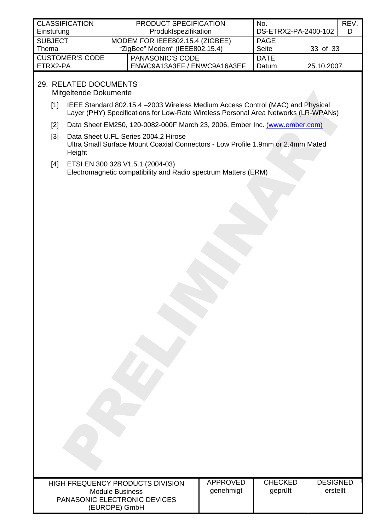<span id="page-32-0"></span>

| <b>CLASSIFICATION</b>  |                                | <b>PRODUCT SPECIFICATION</b>    | No.          |                      | REV. |
|------------------------|--------------------------------|---------------------------------|--------------|----------------------|------|
| Einstufung             |                                | Produktspezifikation            |              | DS-ETRX2-PA-2400-102 |      |
| <b>SUBJECT</b>         |                                | MODEM FOR IEEE802.15.4 (ZIGBEE) | <b>PAGE</b>  |                      |      |
| Thema                  | "ZigBee" Modem" (IEEE802.15.4) |                                 | <b>Seite</b> | 33 of 33             |      |
| <b>CUSTOMER'S CODE</b> |                                | <b>PANASONIC'S CODE</b>         | <b>DATE</b>  |                      |      |
| ETRX2-PA               |                                | ENWC9A13A3EF / ENWC9A16A3EF     | Datum        | 25.10.2007           |      |

# 29. RELATED DOCUMENTS

<span id="page-32-4"></span>Mitgeltende Dokumente

- <span id="page-32-1"></span>[1] IEEE Standard 802.15.4 –2003 Wireless Medium Access Control (MAC) and Physical Layer (PHY) Specifications for Low-Rate Wireless Personal Area Networks (LR-WPANs)
- <span id="page-32-2"></span>[2] Data Sheet EM250, 120-0082-000F March 23, 2006, Ember Inc. [\(www.ember.com\)](http://www.ember.com/)
- <span id="page-32-3"></span>[3] Data Sheet U.FL-Series 2004.2 Hirose Ultra Small Surface Mount Coaxial Connectors - Low Profile 1.9mm or 2.4mm Mated Height
- [4] ETSI EN 300 328 V1.5.1 (2004-03) Electromagnetic compatibility and Radio spectrum Matters (ERM)